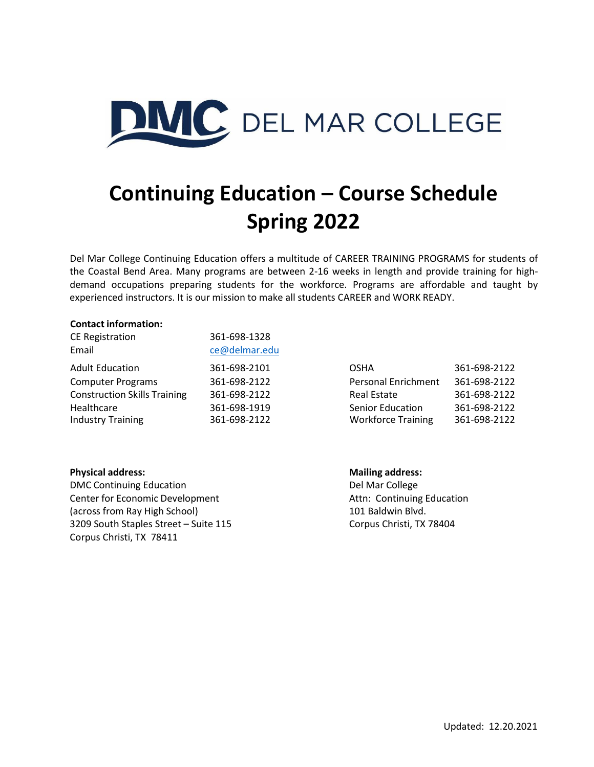

# **Continuing Education – Course Schedule Spring 2022**

Del Mar College Continuing Education offers a multitude of CAREER TRAINING PROGRAMS for students of the Coastal Bend Area. Many programs are between 2-16 weeks in length and provide training for highdemand occupations preparing students for the workforce. Programs are affordable and taught by experienced instructors. It is our mission to make all students CAREER and WORK READY.

#### **Contact information:**

| 361-698-1328  |                           |              |
|---------------|---------------------------|--------------|
| ce@delmar.edu |                           |              |
| 361-698-2101  | <b>OSHA</b>               | 361-698-2122 |
| 361-698-2122  | Personal Enrichment       | 361-698-2122 |
| 361-698-2122  | <b>Real Estate</b>        | 361-698-2122 |
| 361-698-1919  | <b>Senior Education</b>   | 361-698-2122 |
| 361-698-2122  | <b>Workforce Training</b> | 361-698-2122 |
|               |                           |              |

| OSHA                       | 361-698-2122 |
|----------------------------|--------------|
| <b>Personal Enrichment</b> | 361-698-2122 |
| <b>Real Estate</b>         | 361-698-2122 |
| Senior Education           | 361-698-2122 |
| <b>Workforce Training</b>  | 361-698-2122 |

#### **Physical address: Mailing address:**

DMC Continuing Education **DMC** Continuing Education **Del Marcollege** Center for Economic Development **Attn:** Continuing Education (across from Ray High School) 101 Baldwin Blvd. 3209 South Staples Street – Suite 115 Corpus Christi, TX 78404 Corpus Christi, TX 78411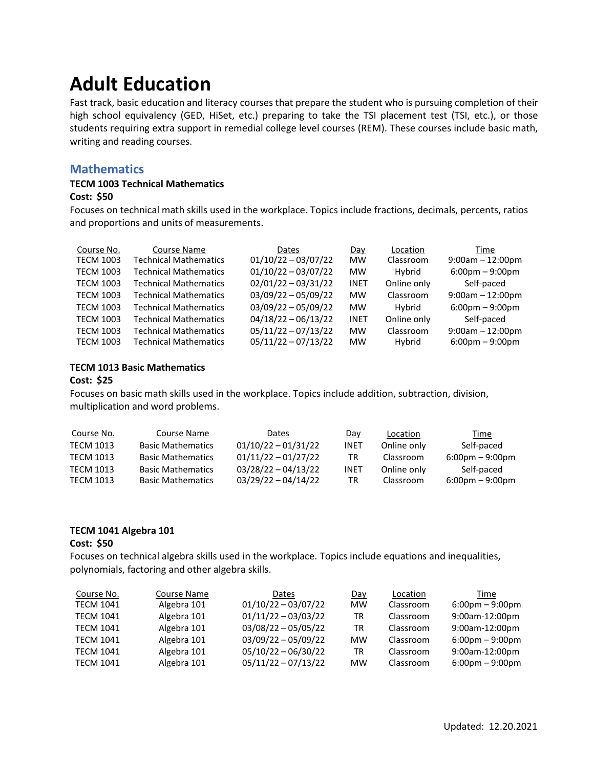# **Adult Education**

Fast track, basic education and literacy courses that prepare the student who is pursuing completion of their high school equivalency (GED, HiSet, etc.) preparing to take the TSI placement test (TSI, etc.), or those students requiring extra support in remedial college level courses (REM). These courses include basic math, writing and reading courses.

### **Mathematics**

#### **TECM 1003 Technical Mathematics**

#### **Cost: \$50**

Focuses on technical math skills used in the workplace. Topics include fractions, decimals, percents, ratios and proportions and units of measurements.

| Course No.       | <b>Course Name</b>           | Dates                 | Day         | Location    | Time                              |
|------------------|------------------------------|-----------------------|-------------|-------------|-----------------------------------|
| <b>TECM 1003</b> | <b>Technical Mathematics</b> | $01/10/22 - 03/07/22$ | <b>MW</b>   | Classroom   | $9:00am - 12:00pm$                |
| <b>TECM 1003</b> | <b>Technical Mathematics</b> | $01/10/22 - 03/07/22$ | <b>MW</b>   | Hybrid      | $6:00 \text{pm} - 9:00 \text{pm}$ |
| <b>TECM 1003</b> | <b>Technical Mathematics</b> | $02/01/22 - 03/31/22$ | <b>INET</b> | Online only | Self-paced                        |
| <b>TECM 1003</b> | <b>Technical Mathematics</b> | $03/09/22 - 05/09/22$ | <b>MW</b>   | Classroom   | $9:00am - 12:00pm$                |
| <b>TECM 1003</b> | <b>Technical Mathematics</b> | $03/09/22 - 05/09/22$ | <b>MW</b>   | Hybrid      | $6:00 \text{pm} - 9:00 \text{pm}$ |
| <b>TECM 1003</b> | <b>Technical Mathematics</b> | $04/18/22 - 06/13/22$ | <b>INET</b> | Online only | Self-paced                        |
| <b>TECM 1003</b> | <b>Technical Mathematics</b> | $05/11/22 - 07/13/22$ | <b>MW</b>   | Classroom   | $9:00am - 12:00pm$                |
| <b>TECM 1003</b> | <b>Technical Mathematics</b> | $05/11/22 - 07/13/22$ | <b>MW</b>   | Hybrid      | $6:00 \text{pm} - 9:00 \text{pm}$ |

#### **TECM 1013 Basic Mathematics**

#### **Cost: \$25**

Focuses on basic math skills used in the workplace. Topics include addition, subtraction, division, multiplication and word problems.

| Course No.       | Course Name              | Dates                 | Day  | Location    | Time                              |
|------------------|--------------------------|-----------------------|------|-------------|-----------------------------------|
| TECM 1013        | <b>Basic Mathematics</b> | $01/10/22 - 01/31/22$ | INET | Online only | Self-paced                        |
| <b>TFCM 1013</b> | <b>Basic Mathematics</b> | $01/11/22 - 01/27/22$ | TR   | Classroom   | $6:00 \text{pm} - 9:00 \text{pm}$ |
| <b>TFCM 1013</b> | <b>Basic Mathematics</b> | $03/28/22 - 04/13/22$ | INET | Online only | Self-paced                        |
| TECM 1013        | <b>Basic Mathematics</b> | 03/29/22 - 04/14/22   | TR   | Classroom   | $6:00 \text{pm} - 9:00 \text{pm}$ |

#### **TECM 1041 Algebra 101**

#### **Cost: \$50**

Focuses on technical algebra skills used in the workplace. Topics include equations and inequalities, polynomials, factoring and other algebra skills.

| Course No.       | Course Name | <b>Dates</b>          | Day       | Location  | Time                              |
|------------------|-------------|-----------------------|-----------|-----------|-----------------------------------|
| <b>TECM 1041</b> | Algebra 101 | $01/10/22 - 03/07/22$ | <b>MW</b> | Classroom | $6:00 \text{pm} - 9:00 \text{pm}$ |
| <b>TECM 1041</b> | Algebra 101 | $01/11/22 - 03/03/22$ | TR        | Classroom | 9:00am-12:00pm                    |
| <b>TECM 1041</b> | Algebra 101 | $03/08/22 - 05/05/22$ | TR        | Classroom | 9:00am-12:00pm                    |
| <b>TECM 1041</b> | Algebra 101 | $03/09/22 - 05/09/22$ | <b>MW</b> | Classroom | $6:00 \text{pm} - 9:00 \text{pm}$ |
| <b>TECM 1041</b> | Algebra 101 | $05/10/22 - 06/30/22$ | TR        | Classroom | 9:00am-12:00pm                    |
| <b>TECM 1041</b> | Algebra 101 | $05/11/22 - 07/13/22$ | <b>MW</b> | Classroom | $6:00 \text{pm} - 9:00 \text{pm}$ |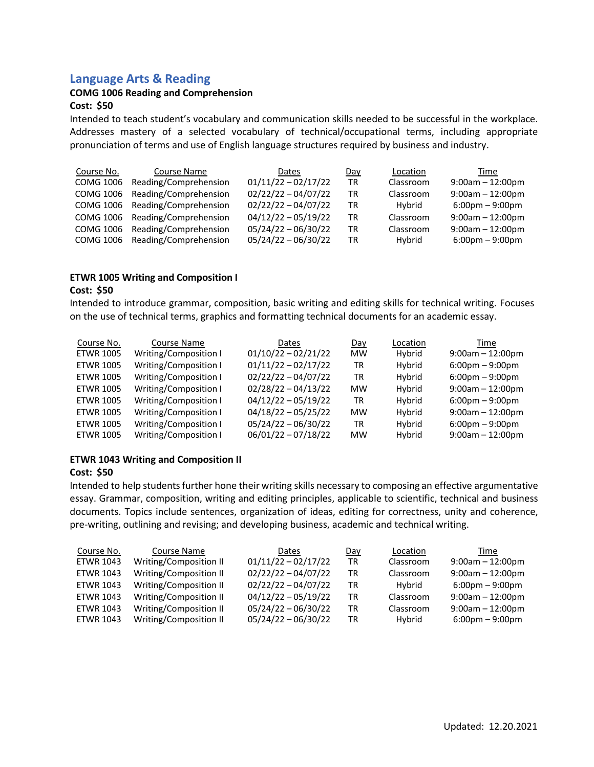### **Language Arts & Reading**

#### **COMG 1006 Reading and Comprehension**

#### **Cost: \$50**

Intended to teach student's vocabulary and communication skills needed to be successful in the workplace. Addresses mastery of a selected vocabulary of technical/occupational terms, including appropriate pronunciation of terms and use of English language structures required by business and industry.

| Course No.       | Course Name           | Dates                 | Day       | Location  | Time                              |
|------------------|-----------------------|-----------------------|-----------|-----------|-----------------------------------|
| <b>COMG 1006</b> | Reading/Comprehension | $01/11/22 - 02/17/22$ | <b>TR</b> | Classroom | $9:00am - 12:00pm$                |
| <b>COMG 1006</b> | Reading/Comprehension | $02/22/22 - 04/07/22$ | TR        | Classroom | $9:00am - 12:00pm$                |
| COMG 1006        | Reading/Comprehension | $02/22/22 - 04/07/22$ | TR        | Hybrid    | $6:00 \text{pm} - 9:00 \text{pm}$ |
| COMG 1006        | Reading/Comprehension | $04/12/22 - 05/19/22$ | TR        | Classroom | $9:00am - 12:00pm$                |
| COMG 1006        | Reading/Comprehension | $05/24/22 - 06/30/22$ | TR        | Classroom | $9:00am - 12:00pm$                |
| COMG 1006        | Reading/Comprehension | $05/24/22 - 06/30/22$ | TR        | Hybrid    | $6:00 \text{pm} - 9:00 \text{pm}$ |

#### **ETWR 1005 Writing and Composition I Cost: \$50**

Intended to introduce grammar, composition, basic writing and editing skills for technical writing. Focuses on the use of technical terms, graphics and formatting technical documents for an academic essay.

| Course No.       | Course Name           | Dates                 | Day       | Location | Time                              |
|------------------|-----------------------|-----------------------|-----------|----------|-----------------------------------|
| <b>ETWR 1005</b> | Writing/Composition I | $01/10/22 - 02/21/22$ | <b>MW</b> | Hybrid   | $9:00am - 12:00pm$                |
| <b>ETWR 1005</b> | Writing/Composition I | $01/11/22 - 02/17/22$ | <b>TR</b> | Hybrid   | $6:00 \text{pm} - 9:00 \text{pm}$ |
| <b>ETWR 1005</b> | Writing/Composition I | $02/22/22 - 04/07/22$ | <b>TR</b> | Hybrid   | $6:00 \text{pm} - 9:00 \text{pm}$ |
| <b>ETWR 1005</b> | Writing/Composition I | $02/28/22 - 04/13/22$ | <b>MW</b> | Hybrid   | $9:00am - 12:00pm$                |
| <b>ETWR 1005</b> | Writing/Composition I | $04/12/22 - 05/19/22$ | <b>TR</b> | Hybrid   | $6:00 \text{pm} - 9:00 \text{pm}$ |
| <b>ETWR 1005</b> | Writing/Composition I | $04/18/22 - 05/25/22$ | <b>MW</b> | Hybrid   | $9:00am - 12:00pm$                |
| <b>ETWR 1005</b> | Writing/Composition I | $05/24/22 - 06/30/22$ | <b>TR</b> | Hybrid   | $6:00 \text{pm} - 9:00 \text{pm}$ |
| <b>ETWR 1005</b> | Writing/Composition I | $06/01/22 - 07/18/22$ | <b>MW</b> | Hybrid   | $9:00am - 12:00pm$                |

#### **ETWR 1043 Writing and Composition II**

#### **Cost: \$50**

Intended to help students further hone their writing skills necessary to composing an effective argumentative essay. Grammar, composition, writing and editing principles, applicable to scientific, technical and business documents. Topics include sentences, organization of ideas, editing for correctness, unity and coherence, pre-writing, outlining and revising; and developing business, academic and technical writing.

| Course No.       | Course Name            | Dates                 | Day       | Location  | Time                              |
|------------------|------------------------|-----------------------|-----------|-----------|-----------------------------------|
| ETWR 1043        | Writing/Composition II | $01/11/22 - 02/17/22$ | <b>TR</b> | Classroom | $9:00am - 12:00pm$                |
| <b>ETWR 1043</b> | Writing/Composition II | $02/22/22 - 04/07/22$ | TR        | Classroom | $9:00am - 12:00pm$                |
| <b>ETWR 1043</b> | Writing/Composition II | $02/22/22 - 04/07/22$ | TR        | Hybrid    | $6:00 \text{pm} - 9:00 \text{pm}$ |
| <b>ETWR 1043</b> | Writing/Composition II | $04/12/22 - 05/19/22$ | TR        | Classroom | $9:00am - 12:00pm$                |
| ETWR 1043        | Writing/Composition II | $05/24/22 - 06/30/22$ | TR        | Classroom | $9:00am - 12:00pm$                |
| ETWR 1043        | Writing/Composition II | $05/24/22 - 06/30/22$ | TR        | Hybrid    | $6:00 \text{pm} - 9:00 \text{pm}$ |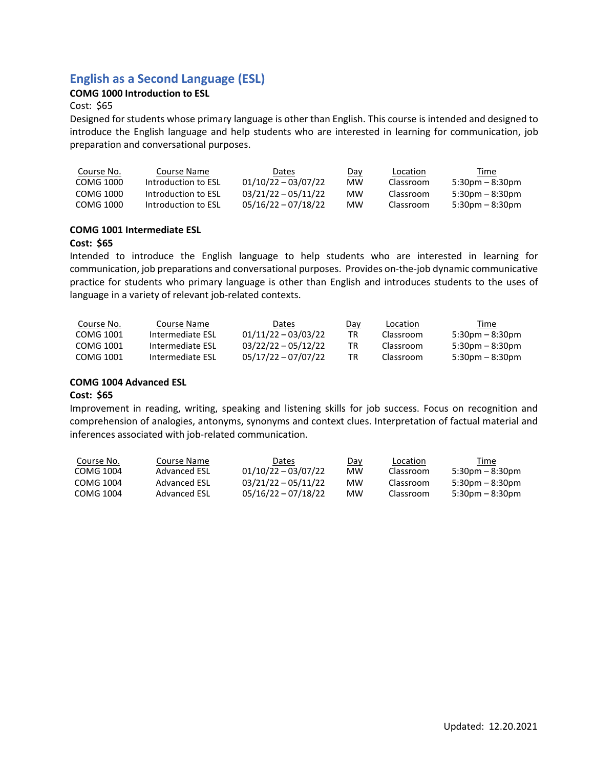# **English as a Second Language (ESL)**

#### **COMG 1000 Introduction to ESL**

#### Cost: \$65

Designed for students whose primary language is other than English. This course is intended and designed to introduce the English language and help students who are interested in learning for communication, job preparation and conversational purposes.

| Course No. | Course Name         | Dates                 | Day | Location  | Time                              |
|------------|---------------------|-----------------------|-----|-----------|-----------------------------------|
| COMG 1000  | Introduction to FSL | $01/10/22 - 03/07/22$ | МW  | Classroom | $5:30pm - 8:30pm$                 |
| COMG 1000  | Introduction to FSL | $03/21/22 - 05/11/22$ | мw  | Classroom | $5:30$ pm – $8:30$ pm             |
| COMG 1000  | Introduction to ESL | $05/16/22 - 07/18/22$ | мw  | Classroom | $5:30 \text{pm} - 8:30 \text{pm}$ |

#### **COMG 1001 Intermediate ESL**

#### **Cost: \$65**

Intended to introduce the English language to help students who are interested in learning for communication, job preparations and conversational purposes. Provides on-the-job dynamic communicative practice for students who primary language is other than English and introduces students to the uses of language in a variety of relevant job-related contexts.

| Course No. | Course Name      | Dates                 | Day | Location  | Time                              |
|------------|------------------|-----------------------|-----|-----------|-----------------------------------|
| COMG 1001  | Intermediate ESL | $01/11/22 - 03/03/22$ | TR  | Classroom | $5:30$ pm – $8:30$ pm             |
| COMG 1001  | Intermediate ESL | $03/22/22 - 05/12/22$ | TR  | Classroom | $5:30 \text{pm} - 8:30 \text{pm}$ |
| COMG 1001  | Intermediate ESL | 05/17/22 - 07/07/22   | TR  | Classroom | $5:30 \text{pm} - 8:30 \text{pm}$ |

#### **COMG 1004 Advanced ESL**

#### **Cost: \$65**

Improvement in reading, writing, speaking and listening skills for job success. Focus on recognition and comprehension of analogies, antonyms, synonyms and context clues. Interpretation of factual material and inferences associated with job-related communication.

| Course No. | Course Name  | Dates                 | Day | Location  | Time                              |
|------------|--------------|-----------------------|-----|-----------|-----------------------------------|
| COMG 1004  | Advanced ESL | $01/10/22 - 03/07/22$ | мw  | Classroom | $5:30pm - 8:30pm$                 |
| COMG 1004  | Advanced ESL | $03/21/22 - 05/11/22$ | мw  | Classroom | $5:30$ pm – 8:30pm                |
| COMG 1004  | Advanced FSL | $05/16/22 - 07/18/22$ | мw  | Classroom | $5:30 \text{pm} - 8:30 \text{pm}$ |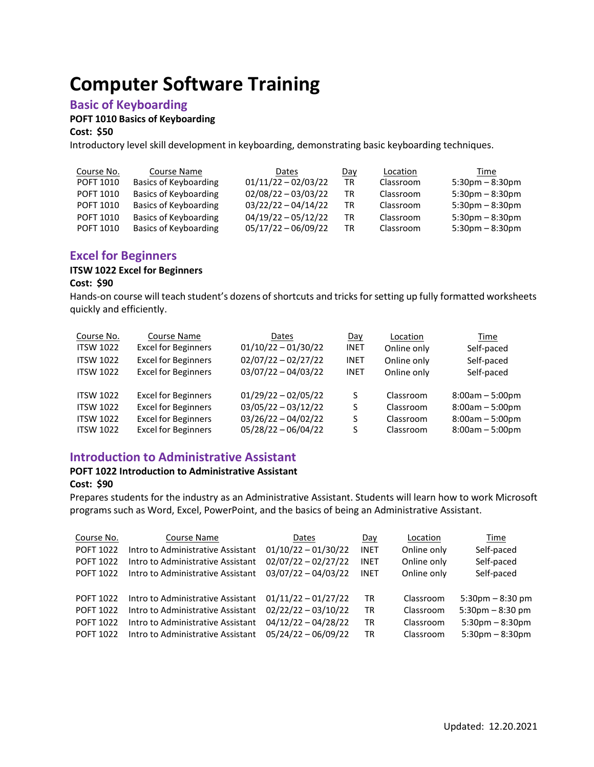# **Computer Software Training**

### **Basic of Keyboarding**

#### **POFT 1010 Basics of Keyboarding**

**Cost: \$50**

Introductory level skill development in keyboarding, demonstrating basic keyboarding techniques.

| Course No. | Course Name           | Dates                 | Day | Location  | Time                              |
|------------|-----------------------|-----------------------|-----|-----------|-----------------------------------|
| POFT 1010  | Basics of Keyboarding | $01/11/22 - 02/03/22$ | TR  | Classroom | $5:30$ pm $-8:30$ pm              |
| POFT 1010  | Basics of Keyboarding | $02/08/22 - 03/03/22$ | TR  | Classroom | $5:30pm - 8:30pm$                 |
| POFT 1010  | Basics of Keyboarding | $03/22/22 - 04/14/22$ | TR  | Classroom | $5:30 \text{pm} - 8:30 \text{pm}$ |
| POFT 1010  | Basics of Keyboarding | $04/19/22 - 05/12/22$ | TR  | Classroom | $5:30$ pm $-8:30$ pm              |
| POFT 1010  | Basics of Keyboarding | $05/17/22 - 06/09/22$ | TR  | Classroom | $5:30 \text{pm} - 8:30 \text{pm}$ |

### **Excel for Beginners**

# **ITSW 1022 Excel for Beginners**

#### **Cost: \$90**

Hands-on course will teach student's dozens of shortcuts and tricks for setting up fully formatted worksheets quickly and efficiently.

| Course No.                                                                   | Course Name                                                                                                          | Dates                                                                                            | Day         | Location                                         | Time                                                                             |
|------------------------------------------------------------------------------|----------------------------------------------------------------------------------------------------------------------|--------------------------------------------------------------------------------------------------|-------------|--------------------------------------------------|----------------------------------------------------------------------------------|
| <b>ITSW 1022</b>                                                             | <b>Excel for Beginners</b>                                                                                           | $01/10/22 - 01/30/22$                                                                            | <b>INET</b> | Online only                                      | Self-paced                                                                       |
| <b>ITSW 1022</b>                                                             | <b>Excel for Beginners</b>                                                                                           | $02/07/22 - 02/27/22$                                                                            | <b>INET</b> | Online only                                      | Self-paced                                                                       |
| <b>ITSW 1022</b>                                                             | <b>Excel for Beginners</b>                                                                                           | $03/07/22 - 04/03/22$                                                                            | <b>INET</b> | Online only                                      | Self-paced                                                                       |
| <b>ITSW 1022</b><br><b>ITSW 1022</b><br><b>ITSW 1022</b><br><b>ITSW 1022</b> | <b>Excel for Beginners</b><br><b>Excel for Beginners</b><br><b>Excel for Beginners</b><br><b>Excel for Beginners</b> | $01/29/22 - 02/05/22$<br>$03/05/22 - 03/12/22$<br>$03/26/22 - 04/02/22$<br>$05/28/22 - 06/04/22$ | S<br>S<br>S | Classroom<br>Classroom<br>Classroom<br>Classroom | $8:00am - 5:00pm$<br>$8:00am - 5:00pm$<br>$8:00am - 5:00pm$<br>$8:00am - 5:00pm$ |

#### **Introduction to Administrative Assistant**

#### **POFT 1022 Introduction to Administrative Assistant**

#### **Cost: \$90**

Prepares students for the industry as an Administrative Assistant. Students will learn how to work Microsoft programs such as Word, Excel, PowerPoint, and the basics of being an Administrative Assistant.

| Course No.<br><b>POFT 1022</b><br><b>POFT 1022</b> | Course Name<br>Intro to Administrative Assistant<br>Intro to Administrative Assistant | Dates<br>$01/10/22 - 01/30/22$<br>$02/07/22 - 02/27/22$ | Day<br><b>INET</b><br><b>INET</b> | Location<br>Online only<br>Online only | Time<br>Self-paced<br>Self-paced  |
|----------------------------------------------------|---------------------------------------------------------------------------------------|---------------------------------------------------------|-----------------------------------|----------------------------------------|-----------------------------------|
| <b>POFT 1022</b>                                   | Intro to Administrative Assistant                                                     | $03/07/22 - 04/03/22$                                   | <b>INET</b>                       | Online only                            | Self-paced                        |
| <b>POFT 1022</b>                                   | Intro to Administrative Assistant                                                     | $01/11/22 - 01/27/22$                                   | TR                                | Classroom                              | $5:30$ pm $-8:30$ pm              |
| <b>POFT 1022</b>                                   | Intro to Administrative Assistant                                                     | $02/22/22 - 03/10/22$                                   | TR                                | Classroom                              | $5:30 \text{pm} - 8:30 \text{pm}$ |
| <b>POFT 1022</b>                                   | Intro to Administrative Assistant                                                     | $04/12/22 - 04/28/22$                                   | TR                                | Classroom                              | $5:30$ pm $-8:30$ pm              |
| <b>POFT 1022</b>                                   | Intro to Administrative Assistant                                                     | $05/24/22 - 06/09/22$                                   | ΤR                                | Classroom                              | $5:30$ pm $-8:30$ pm              |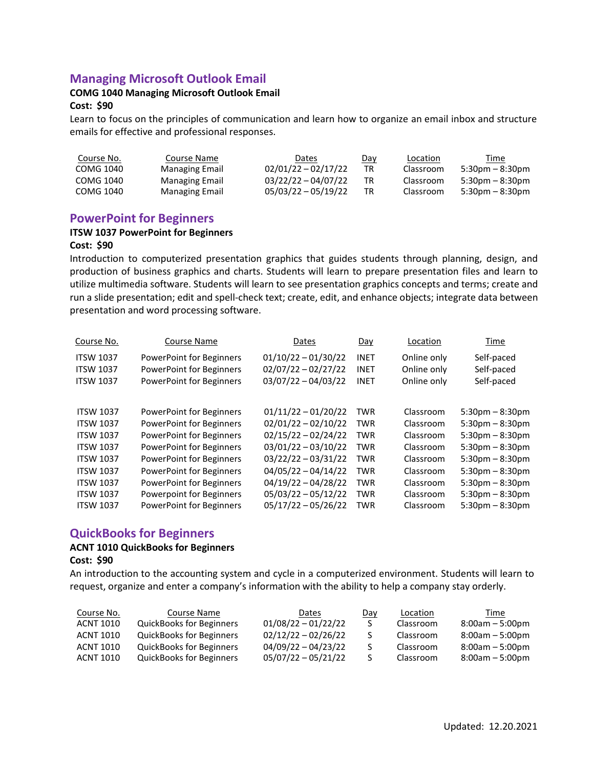# **Managing Microsoft Outlook Email**

#### **COMG 1040 Managing Microsoft Outlook Email**

#### **Cost: \$90**

Learn to focus on the principles of communication and learn how to organize an email inbox and structure emails for effective and professional responses.

| Course No. | Course Name           | Dates                 | <u>Day</u> | Location  | Time                 |
|------------|-----------------------|-----------------------|------------|-----------|----------------------|
| COMG 1040  | <b>Managing Email</b> | $02/01/22 - 02/17/22$ | TR         | Classroom | $5:30pm - 8:30pm$    |
| COMG 1040  | Managing Email        | $03/22/22 - 04/07/22$ | ТR         | Classroom | $5:30$ pm $-8:30$ pm |
| COMG 1040  | <b>Managing Email</b> | $05/03/22 - 05/19/22$ | ТR         | Classroom | $5:30pm - 8:30pm$    |

#### **PowerPoint for Beginners**

#### **ITSW 1037 PowerPoint for Beginners**

#### **Cost: \$90**

Introduction to computerized presentation graphics that guides students through planning, design, and production of business graphics and charts. Students will learn to prepare presentation files and learn to utilize multimedia software. Students will learn to see presentation graphics concepts and terms; create and run a slide presentation; edit and spell-check text; create, edit, and enhance objects; integrate data between presentation and word processing software.

| Course No.       | Course Name                     | Dates                 | Day         | Location    | Time                              |
|------------------|---------------------------------|-----------------------|-------------|-------------|-----------------------------------|
| <b>ITSW 1037</b> | PowerPoint for Beginners        | $01/10/22 - 01/30/22$ | <b>INET</b> | Online only | Self-paced                        |
| <b>ITSW 1037</b> | PowerPoint for Beginners        | $02/07/22 - 02/27/22$ | <b>INET</b> | Online only | Self-paced                        |
| <b>ITSW 1037</b> | <b>PowerPoint for Beginners</b> | $03/07/22 - 04/03/22$ | <b>INET</b> | Online only | Self-paced                        |
|                  |                                 |                       |             |             |                                   |
| <b>ITSW 1037</b> | PowerPoint for Beginners        | $01/11/22 - 01/20/22$ | <b>TWR</b>  | Classroom   | $5:30 \text{pm} - 8:30 \text{pm}$ |
| <b>ITSW 1037</b> | PowerPoint for Beginners        | $02/01/22 - 02/10/22$ | <b>TWR</b>  | Classroom   | $5:30$ pm $-8:30$ pm              |
| <b>ITSW 1037</b> | PowerPoint for Beginners        | $02/15/22 - 02/24/22$ | <b>TWR</b>  | Classroom   | $5:30$ pm $-8:30$ pm              |
| <b>ITSW 1037</b> | PowerPoint for Beginners        | $03/01/22 - 03/10/22$ | <b>TWR</b>  | Classroom   | $5:30$ pm $-8:30$ pm              |
| <b>ITSW 1037</b> | PowerPoint for Beginners        | $03/22/22 - 03/31/22$ | <b>TWR</b>  | Classroom   | $5:30$ pm $-8:30$ pm              |
| <b>ITSW 1037</b> | PowerPoint for Beginners        | $04/05/22 - 04/14/22$ | <b>TWR</b>  | Classroom   | $5:30$ pm $-8:30$ pm              |
| <b>ITSW 1037</b> | PowerPoint for Beginners        | $04/19/22 - 04/28/22$ | <b>TWR</b>  | Classroom   | $5:30$ pm $-8:30$ pm              |
| <b>ITSW 1037</b> | Powerpoint for Beginners        | $05/03/22 - 05/12/22$ | <b>TWR</b>  | Classroom   | $5:30$ pm $-8:30$ pm              |
| <b>ITSW 1037</b> | <b>PowerPoint for Beginners</b> | $05/17/22 - 05/26/22$ | <b>TWR</b>  | Classroom   | $5:30$ pm $-8:30$ pm              |

#### **QuickBooks for Beginners**

#### **ACNT 1010 QuickBooks for Beginners**

#### **Cost: \$90**

An introduction to the accounting system and cycle in a computerized environment. Students will learn to request, organize and enter a company's information with the ability to help a company stay orderly.

| Course No. | Course Name                     | Dates                 | Day | Location  | Time              |
|------------|---------------------------------|-----------------------|-----|-----------|-------------------|
| ACNT 1010  | <b>QuickBooks for Beginners</b> | $01/08/22 - 01/22/22$ | S.  | Classroom | $8:00am - 5:00pm$ |
| ACNT 1010  | <b>QuickBooks for Beginners</b> | $02/12/22 - 02/26/22$ | S   | Classroom | $8:00am - 5:00pm$ |
| ACNT 1010  | <b>QuickBooks for Beginners</b> | $04/09/22 - 04/23/22$ | S.  | Classroom | $8:00am - 5:00pm$ |
| ACNT 1010  | QuickBooks for Beginners        | $05/07/22 - 05/21/22$ | S.  | Classroom | $8:00am - 5:00pm$ |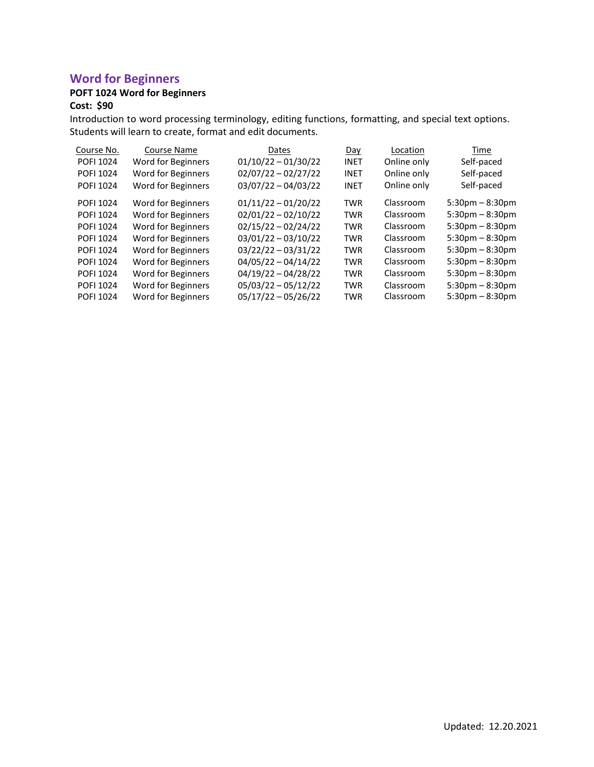# **Word for Beginners**

# **POFT 1024 Word for Beginners**

#### **Cost: \$90**

Introduction to word processing terminology, editing functions, formatting, and special text options. Students will learn to create, format and edit documents.

| Course No.       | <b>Course Name</b> | Dates                 | Day         | Location    | Time                 |
|------------------|--------------------|-----------------------|-------------|-------------|----------------------|
| POFI 1024        | Word for Beginners | $01/10/22 - 01/30/22$ | <b>INET</b> | Online only | Self-paced           |
| POFI 1024        | Word for Beginners | $02/07/22 - 02/27/22$ | <b>INET</b> | Online only | Self-paced           |
| POFI 1024        | Word for Beginners | $03/07/22 - 04/03/22$ | <b>INET</b> | Online only | Self-paced           |
| POFI 1024        | Word for Beginners | $01/11/22 - 01/20/22$ | <b>TWR</b>  | Classroom   | $5:30$ pm $-8:30$ pm |
| POFI 1024        | Word for Beginners | $02/01/22 - 02/10/22$ | <b>TWR</b>  | Classroom   | $5:30$ pm $-8:30$ pm |
| POFI 1024        | Word for Beginners | $02/15/22 - 02/24/22$ | <b>TWR</b>  | Classroom   | $5:30$ pm $-8:30$ pm |
| POFI 1024        | Word for Beginners | $03/01/22 - 03/10/22$ | <b>TWR</b>  | Classroom   | $5:30$ pm $-8:30$ pm |
| POFI 1024        | Word for Beginners | $03/22/22 - 03/31/22$ | <b>TWR</b>  | Classroom   | $5:30$ pm $-8:30$ pm |
| POFI 1024        | Word for Beginners | $04/05/22 - 04/14/22$ | <b>TWR</b>  | Classroom   | $5:30$ pm $-8:30$ pm |
| POFI 1024        | Word for Beginners | $04/19/22 - 04/28/22$ | <b>TWR</b>  | Classroom   | $5:30$ pm $-8:30$ pm |
| POFI 1024        | Word for Beginners | $05/03/22 - 05/12/22$ | <b>TWR</b>  | Classroom   | $5:30$ pm $-8:30$ pm |
| <b>POFI 1024</b> | Word for Beginners | $05/17/22 - 05/26/22$ | <b>TWR</b>  | Classroom   | $5:30$ pm $-8:30$ pm |
|                  |                    |                       |             |             |                      |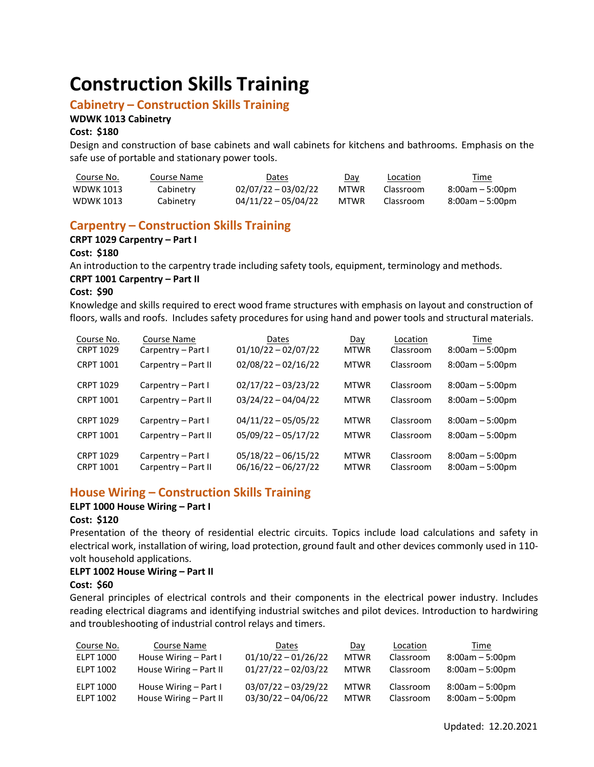# **Construction Skills Training**

### **Cabinetry – Construction Skills Training**

#### **WDWK 1013 Cabinetry**

#### **Cost: \$180**

Design and construction of base cabinets and wall cabinets for kitchens and bathrooms. Emphasis on the safe use of portable and stationary power tools.

| Course No.       | Course Name | Dates                 | Day         | Location  | Time            |
|------------------|-------------|-----------------------|-------------|-----------|-----------------|
| WDWK 1013        | Cabinetry   | $02/07/22 - 03/02/22$ | MTWR        | Classroom | 8:00am – 5:00pm |
| <b>WDWK 1013</b> | Cabinetry   | $04/11/22 - 05/04/22$ | <b>MTWR</b> | Classroom | 8:00am – 5:00pm |

# **Carpentry – Construction Skills Training**

#### **CRPT 1029 Carpentry – Part I**

**Cost: \$180**

An introduction to the carpentry trade including safety tools, equipment, terminology and methods.

#### **CRPT 1001 Carpentry – Part II**

**Cost: \$90**

Knowledge and skills required to erect wood frame structures with emphasis on layout and construction of floors, walls and roofs. Includes safety procedures for using hand and power tools and structural materials.

| Course No.<br><b>CRPT 1029</b> | Course Name<br>Carpentry - Part I | Dates<br>$01/10/22 - 02/07/22$ | Day<br><b>MTWR</b> | Location<br>Classroom | Time<br>$8:00am - 5:00pm$ |
|--------------------------------|-----------------------------------|--------------------------------|--------------------|-----------------------|---------------------------|
| <b>CRPT 1001</b>               | Carpentry - Part II               | $02/08/22 - 02/16/22$          | <b>MTWR</b>        | Classroom             | $8:00am - 5:00pm$         |
| <b>CRPT 1029</b>               | Carpentry - Part I                | $02/17/22 - 03/23/22$          | <b>MTWR</b>        | Classroom             | $8:00am - 5:00pm$         |
| <b>CRPT 1001</b>               | Carpentry - Part II               | $03/24/22 - 04/04/22$          | <b>MTWR</b>        | Classroom             | $8:00am - 5:00pm$         |
| <b>CRPT 1029</b>               | Carpentry - Part I                | $04/11/22 - 05/05/22$          | <b>MTWR</b>        | Classroom             | $8:00am - 5:00pm$         |
| <b>CRPT 1001</b>               | Carpentry - Part II               | $05/09/22 - 05/17/22$          | <b>MTWR</b>        | Classroom             | $8:00am - 5:00pm$         |
| <b>CRPT 1029</b>               | Carpentry - Part I                | $05/18/22 - 06/15/22$          | <b>MTWR</b>        | Classroom             | $8:00am - 5:00pm$         |
| <b>CRPT 1001</b>               | Carpentry - Part II               | $06/16/22 - 06/27/22$          | <b>MTWR</b>        | Classroom             | $8:00am - 5:00pm$         |

# **House Wiring – Construction Skills Training**

#### **ELPT 1000 House Wiring – Part I**

#### **Cost: \$120**

Presentation of the theory of residential electric circuits. Topics include load calculations and safety in electrical work, installation of wiring, load protection, ground fault and other devices commonly used in 110 volt household applications.

#### **ELPT 1002 House Wiring – Part II**

#### **Cost: \$60**

General principles of electrical controls and their components in the electrical power industry. Includes reading electrical diagrams and identifying industrial switches and pilot devices. Introduction to hardwiring and troubleshooting of industrial control relays and timers.

| Course No.       | Course Name            | Dates                 | Day         | Location  | Time              |
|------------------|------------------------|-----------------------|-------------|-----------|-------------------|
| ELPT 1000        | House Wiring - Part I  | $01/10/22 - 01/26/22$ | <b>MTWR</b> | Classroom | $8:00am - 5:00pm$ |
| ELPT 1002        | House Wiring - Part II | $01/27/22 - 02/03/22$ | <b>MTWR</b> | Classroom | $8:00am - 5:00pm$ |
| <b>ELPT 1000</b> | House Wiring – Part I  | $03/07/22 - 03/29/22$ | <b>MTWR</b> | Classroom | $8:00am - 5:00pm$ |
| ELPT 1002        | House Wiring – Part II | $03/30/22 - 04/06/22$ | <b>MTWR</b> | Classroom | $8:00am - 5:00pm$ |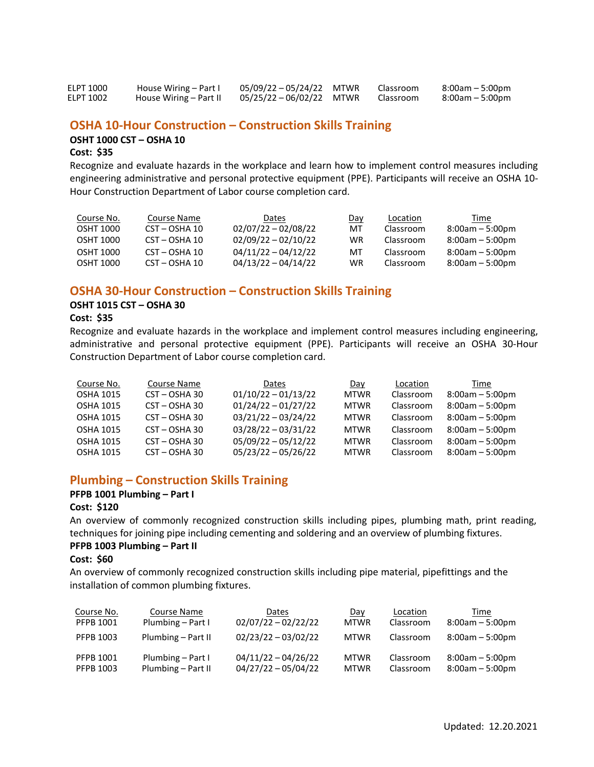| ELPT 1000        | House Wiring – Part I  | 05/09/22-05/24/22 MTWR   | Classroom | 8:00am – 5:00pm   |
|------------------|------------------------|--------------------------|-----------|-------------------|
| <b>ELPT 1002</b> | House Wiring – Part II | 05/25/22 - 06/02/22 MTWR | Classroom | $8:00am - 5:00pm$ |

#### **OSHA 10-Hour Construction – Construction Skills Training**

#### **OSHT 1000 CST – OSHA 10**

#### **Cost: \$35**

Recognize and evaluate hazards in the workplace and learn how to implement control measures including engineering administrative and personal protective equipment (PPE). Participants will receive an OSHA 10- Hour Construction Department of Labor course completion card.

| Course No. | Course Name                   | <b>Dates</b>          | Day | Location  | Time              |
|------------|-------------------------------|-----------------------|-----|-----------|-------------------|
| OSHT 1000  | CST - OSHA 10                 | $02/07/22 - 02/08/22$ | МT  | Classroom | $8:00am - 5:00pm$ |
| OSHT 1000  | CST - OSHA 10                 | $02/09/22 - 02/10/22$ | WR  | Classroom | $8:00am - 5:00pm$ |
| OSHT 1000  | $\text{CST} - \text{OSHA}$ 10 | $04/11/22 - 04/12/22$ | мт  | Classroom | $8:00am - 5:00dm$ |
| OSHT 1000  | CST – OSHA 10                 | $04/13/22 - 04/14/22$ | WR  | Classroom | $8:00am - 5:00dm$ |

#### **OSHA 30-Hour Construction – Construction Skills Training**

# **OSHT 1015 CST – OSHA 30**

#### **Cost: \$35**

Recognize and evaluate hazards in the workplace and implement control measures including engineering, administrative and personal protective equipment (PPE). Participants will receive an OSHA 30-Hour Construction Department of Labor course completion card.

| Course No.       | Course Name     | Dates                 | Day         | Location  | Time              |
|------------------|-----------------|-----------------------|-------------|-----------|-------------------|
| <b>OSHA 1015</b> | CST - OSHA 30   | $01/10/22 - 01/13/22$ | <b>MTWR</b> | Classroom | $8:00am - 5:00pm$ |
| <b>OSHA 1015</b> | $CST - OSHA 30$ | $01/24/22 - 01/27/22$ | <b>MTWR</b> | Classroom | $8:00am - 5:00pm$ |
| <b>OSHA 1015</b> | $CST - OSHA 30$ | $03/21/22 - 03/24/22$ | <b>MTWR</b> | Classroom | $8:00am - 5:00pm$ |
| <b>OSHA 1015</b> | $CST - OSHA 30$ | $03/28/22 - 03/31/22$ | <b>MTWR</b> | Classroom | $8:00am - 5:00pm$ |
| <b>OSHA 1015</b> | $CST - OSHA 30$ | $05/09/22 - 05/12/22$ | <b>MTWR</b> | Classroom | $8:00am - 5:00pm$ |
| <b>OSHA 1015</b> | CST-OSHA30      | $05/23/22 - 05/26/22$ | <b>MTWR</b> | Classroom | $8:00am - 5:00pm$ |

### **Plumbing – Construction Skills Training**

#### **PFPB 1001 Plumbing – Part I**

#### **Cost: \$120**

An overview of commonly recognized construction skills including pipes, plumbing math, print reading, techniques for joining pipe including cementing and soldering and an overview of plumbing fixtures.

#### **PFPB 1003 Plumbing – Part II**

#### **Cost: \$60**

An overview of commonly recognized construction skills including pipe material, pipefittings and the installation of common plumbing fixtures.

| Course No. | Course Name        | Dates                 | Day         | Location  | Time              |
|------------|--------------------|-----------------------|-------------|-----------|-------------------|
| PFPB 1001  | Plumbing - Part I  | $02/07/22 - 02/22/22$ | <b>MTWR</b> | Classroom | $8:00am - 5:00pm$ |
| PFPB 1003  | Plumbing – Part II | $02/23/22 - 03/02/22$ | <b>MTWR</b> | Classroom | $8:00am - 5:00pm$ |
| PFPB 1001  | Plumbing - Part I  | $04/11/22 - 04/26/22$ | <b>MTWR</b> | Classroom | $8:00am - 5:00pm$ |
| PFPB 1003  | Plumbing – Part II | $04/27/22 - 05/04/22$ | <b>MTWR</b> | Classroom | $8:00am - 5:00pm$ |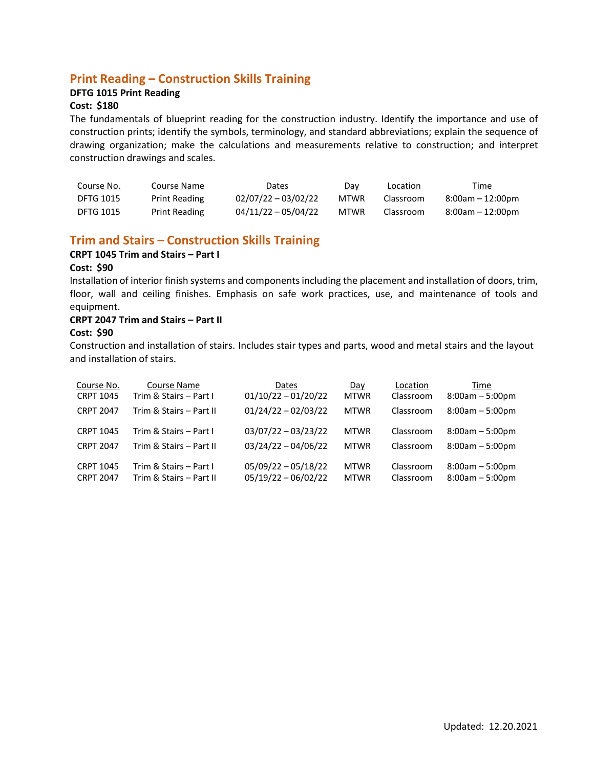# **Print Reading – Construction Skills Training**

#### **DFTG 1015 Print Reading**

#### **Cost: \$180**

The fundamentals of blueprint reading for the construction industry. Identify the importance and use of construction prints; identify the symbols, terminology, and standard abbreviations; explain the sequence of drawing organization; make the calculations and measurements relative to construction; and interpret construction drawings and scales.

| Course No.       | Course Name          | Dates                 | Day  | Location  | <u>Time</u>      |
|------------------|----------------------|-----------------------|------|-----------|------------------|
| <b>DFTG 1015</b> | <b>Print Reading</b> | $02/07/22 - 03/02/22$ | MTWR | Classroom | 8:00am – 12:00pm |
| <b>DFTG 1015</b> | <b>Print Reading</b> | $04/11/22 - 05/04/22$ | MTWR | Classroom | 8:00am – 12:00pm |

# **Trim and Stairs – Construction Skills Training**

#### **CRPT 1045 Trim and Stairs – Part I**

#### **Cost: \$90**

Installation of interior finish systems and componentsincluding the placement and installation of doors, trim, floor, wall and ceiling finishes. Emphasis on safe work practices, use, and maintenance of tools and equipment.

#### **CRPT 2047 Trim and Stairs – Part II**

#### **Cost: \$90**

Construction and installation of stairs. Includes stair types and parts, wood and metal stairs and the layout and installation of stairs.

| Course No.       | Course Name             | Dates                 | Day         | Location  | Time              |
|------------------|-------------------------|-----------------------|-------------|-----------|-------------------|
| <b>CRPT 1045</b> | Trim & Stairs - Part I  | $01/10/22 - 01/20/22$ | <b>MTWR</b> | Classroom | $8:00am - 5:00pm$ |
| <b>CRPT 2047</b> | Trim & Stairs - Part II | $01/24/22 - 02/03/22$ | <b>MTWR</b> | Classroom | $8:00am - 5:00pm$ |
| <b>CRPT 1045</b> | Trim & Stairs - Part I  | $03/07/22 - 03/23/22$ | <b>MTWR</b> | Classroom | $8:00am - 5:00pm$ |
| <b>CRPT 2047</b> | Trim & Stairs - Part II | $03/24/22 - 04/06/22$ | <b>MTWR</b> | Classroom | $8:00am - 5:00pm$ |
| <b>CRPT 1045</b> | Trim & Stairs - Part I  | $05/09/22 - 05/18/22$ | <b>MTWR</b> | Classroom | $8:00am - 5:00pm$ |
| <b>CRPT 2047</b> | Trim & Stairs - Part II | $05/19/22 - 06/02/22$ | <b>MTWR</b> | Classroom | $8:00am - 5:00pm$ |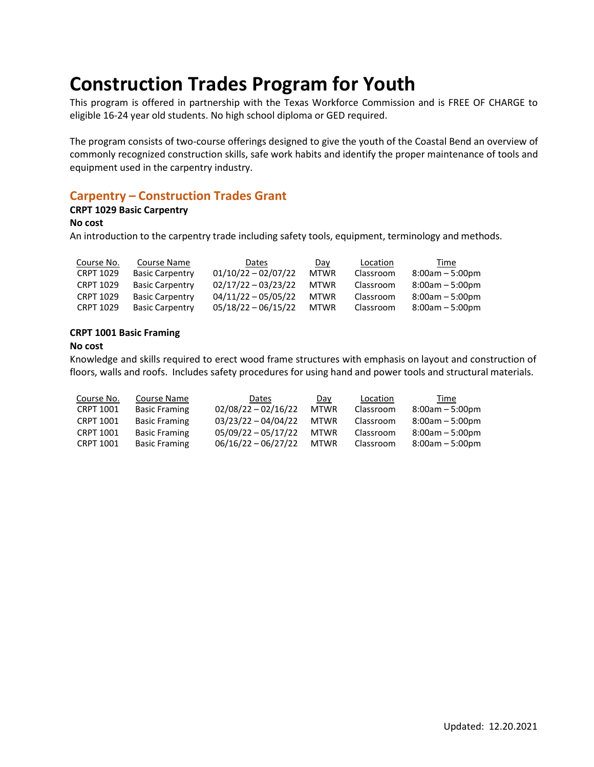# **Construction Trades Program for Youth**

This program is offered in partnership with the Texas Workforce Commission and is FREE OF CHARGE to eligible 16-24 year old students. No high school diploma or GED required.

The program consists of two-course offerings designed to give the youth of the Coastal Bend an overview of commonly recognized construction skills, safe work habits and identify the proper maintenance of tools and equipment used in the carpentry industry.

# **Carpentry – Construction Trades Grant**

#### **CRPT 1029 Basic Carpentry**

#### **No cost**

An introduction to the carpentry trade including safety tools, equipment, terminology and methods.

| Course No.       | Course Name            | Dates                 | Day         | Location  | Time              |
|------------------|------------------------|-----------------------|-------------|-----------|-------------------|
| <b>CRPT 1029</b> | <b>Basic Carpentry</b> | $01/10/22 - 02/07/22$ | <b>MTWR</b> | Classroom | $8:00am - 5:00pm$ |
| <b>CRPT 1029</b> | <b>Basic Carpentry</b> | $02/17/22 - 03/23/22$ | <b>MTWR</b> | Classroom | $8:00am - 5:00pm$ |
| <b>CRPT 1029</b> | <b>Basic Carpentry</b> | $04/11/22 - 05/05/22$ | <b>MTWR</b> | Classroom | $8:00am - 5:00pm$ |
| <b>CRPT 1029</b> | <b>Basic Carpentry</b> | $05/18/22 - 06/15/22$ | <b>MTWR</b> | Classroom | $8:00am - 5:00pm$ |

#### **CRPT 1001 Basic Framing**

#### **No cost**

Knowledge and skills required to erect wood frame structures with emphasis on layout and construction of floors, walls and roofs. Includes safety procedures for using hand and power tools and structural materials.

| Course No.       | Course Name          | Dates                 | Day         | Location  | Time              |
|------------------|----------------------|-----------------------|-------------|-----------|-------------------|
| CRPT 1001        | <b>Basic Framing</b> | $02/08/22 - 02/16/22$ | <b>MTWR</b> | Classroom | $8:00am - 5:00pm$ |
| <b>CRPT 1001</b> | <b>Basic Framing</b> | $03/23/22 - 04/04/22$ | <b>MTWR</b> | Classroom | $8:00am - 5:00pm$ |
| <b>CRPT 1001</b> | <b>Basic Framing</b> | $05/09/22 - 05/17/22$ | <b>MTWR</b> | Classroom | $8:00am - 5:00pm$ |
| CRPT 1001        | <b>Basic Framing</b> | $06/16/22 - 06/27/22$ | <b>MTWR</b> | Classroom | $8:00am - 5:00pm$ |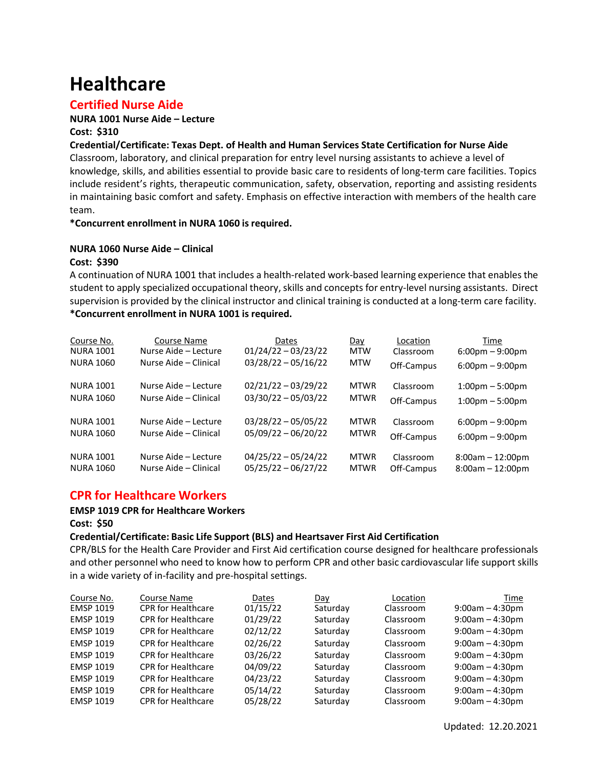# **Healthcare**

# **Certified Nurse Aide**

#### **NURA 1001 Nurse Aide – Lecture Cost: \$310**

#### **Credential/Certificate: Texas Dept. of Health and Human Services State Certification for Nurse Aide**

Classroom, laboratory, and clinical preparation for entry level nursing assistants to achieve a level of knowledge, skills, and abilities essential to provide basic care to residents of long-term care facilities. Topics include resident's rights, therapeutic communication, safety, observation, reporting and assisting residents in maintaining basic comfort and safety. Emphasis on effective interaction with members of the health care team.

#### **\*Concurrent enrollment in NURA 1060 is required.**

#### **NURA 1060 Nurse Aide – Clinical**

#### **Cost: \$390**

A continuation of NURA 1001 that includes a health-related work-based learning experience that enables the student to apply specialized occupational theory, skills and concepts for entry-level nursing assistants. Direct supervision is provided by the clinical instructor and clinical training is conducted at a long-term care facility. **\*Concurrent enrollment in NURA 1001 is required.**

| Course No.       | Course Name           | Dates                 | Day         | Location   | Time                              |
|------------------|-----------------------|-----------------------|-------------|------------|-----------------------------------|
| <b>NURA 1001</b> | Nurse Aide - Lecture  | $01/24/22 - 03/23/22$ | <b>MTW</b>  | Classroom  | $6:00 \text{pm} - 9:00 \text{pm}$ |
| <b>NURA 1060</b> | Nurse Aide - Clinical | $03/28/22 - 05/16/22$ | <b>MTW</b>  | Off-Campus | $6:00 \text{pm} - 9:00 \text{pm}$ |
| <b>NURA 1001</b> | Nurse Aide - Lecture  | $02/21/22 - 03/29/22$ | <b>MTWR</b> | Classroom  | $1:00 \text{pm} - 5:00 \text{pm}$ |
| <b>NURA 1060</b> | Nurse Aide - Clinical | $03/30/22 - 05/03/22$ | <b>MTWR</b> | Off-Campus | $1:00 \text{pm} - 5:00 \text{pm}$ |
| <b>NURA 1001</b> | Nurse Aide - Lecture  | $03/28/22 - 05/05/22$ | <b>MTWR</b> | Classroom  | $6:00 \text{pm} - 9:00 \text{pm}$ |
| <b>NURA 1060</b> | Nurse Aide – Clinical | $05/09/22 - 06/20/22$ | <b>MTWR</b> | Off-Campus | $6:00 \text{pm} - 9:00 \text{pm}$ |
| <b>NURA 1001</b> | Nurse Aide - Lecture  | $04/25/22 - 05/24/22$ | <b>MTWR</b> | Classroom  | $8:00am - 12:00pm$                |
| <b>NURA 1060</b> | Nurse Aide - Clinical | $05/25/22 - 06/27/22$ | <b>MTWR</b> | Off-Campus | $8:00am - 12:00pm$                |

# **CPR for Healthcare Workers**

# **EMSP 1019 CPR for Healthcare Workers**

**Cost: \$50**

#### **Credential/Certificate: Basic Life Support (BLS) and Heartsaver First Aid Certification**

CPR/BLS for the Health Care Provider and First Aid certification course designed for healthcare professionals and other personnel who need to know how to perform CPR and other basic cardiovascular life support skills in a wide variety of in-facility and pre-hospital settings.

| Course No.       | Course Name               | Dates    | Day      | Location  | Time              |
|------------------|---------------------------|----------|----------|-----------|-------------------|
| <b>EMSP 1019</b> | <b>CPR</b> for Healthcare | 01/15/22 | Saturday | Classroom | $9:00am - 4:30pm$ |
| <b>EMSP 1019</b> | <b>CPR for Healthcare</b> | 01/29/22 | Saturday | Classroom | $9:00am - 4:30pm$ |
| <b>EMSP 1019</b> | <b>CPR for Healthcare</b> | 02/12/22 | Saturday | Classroom | $9:00am - 4:30pm$ |
| <b>EMSP 1019</b> | <b>CPR for Healthcare</b> | 02/26/22 | Saturday | Classroom | $9:00am - 4:30pm$ |
| <b>EMSP 1019</b> | <b>CPR for Healthcare</b> | 03/26/22 | Saturday | Classroom | $9:00am - 4:30pm$ |
| <b>EMSP 1019</b> | <b>CPR for Healthcare</b> | 04/09/22 | Saturday | Classroom | $9:00am - 4:30pm$ |
| <b>EMSP 1019</b> | <b>CPR for Healthcare</b> | 04/23/22 | Saturday | Classroom | $9:00am - 4:30pm$ |
| <b>EMSP 1019</b> | <b>CPR for Healthcare</b> | 05/14/22 | Saturday | Classroom | $9:00am - 4:30pm$ |
| <b>EMSP 1019</b> | <b>CPR for Healthcare</b> | 05/28/22 | Saturday | Classroom | $9:00am - 4:30pm$ |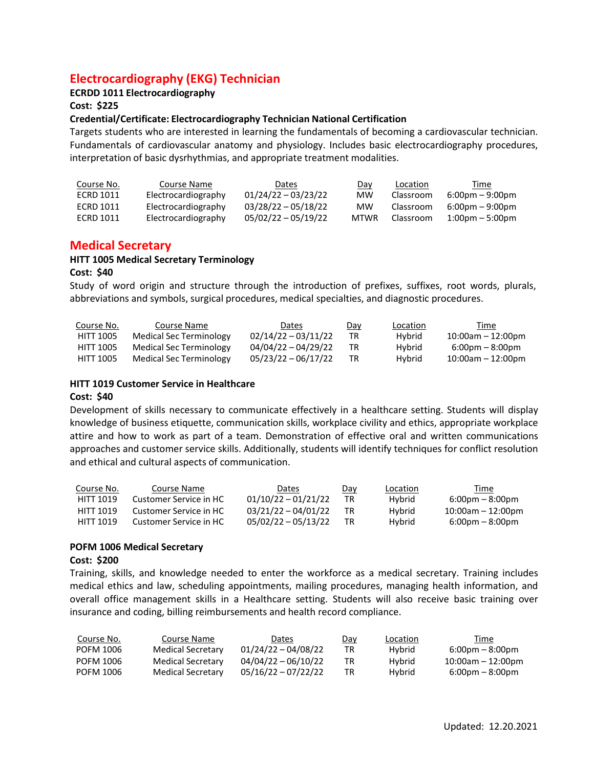# **Electrocardiography (EKG) Technician**

#### **ECRDD 1011 Electrocardiography**

#### **Cost: \$225**

#### **Credential/Certificate: Electrocardiography Technician National Certification**

Targets students who are interested in learning the fundamentals of becoming a cardiovascular technician. Fundamentals of cardiovascular anatomy and physiology. Includes basic electrocardiography procedures, interpretation of basic dysrhythmias, and appropriate treatment modalities.

| Course No. | Course Name         | Dates                 | Day         | Location  | Time                              |
|------------|---------------------|-----------------------|-------------|-----------|-----------------------------------|
| ECRD 1011  | Electrocardiography | $01/24/22 - 03/23/22$ | мw          | Classroom | $6:00 \text{pm} - 9:00 \text{pm}$ |
| ECRD 1011  | Electrocardiography | $03/28/22 - 05/18/22$ | мw          | Classroom | $6:00 \text{pm} - 9:00 \text{pm}$ |
| ECRD 1011  | Electrocardiography | $05/02/22 - 05/19/22$ | <b>MTWR</b> | Classroom | $1:00 \text{pm} - 5:00 \text{pm}$ |

### **Medical Secretary**

#### **HITT 1005 Medical Secretary Terminology**

#### **Cost: \$40**

Study of word origin and structure through the introduction of prefixes, suffixes, root words, plurals, abbreviations and symbols, surgical procedures, medical specialties, and diagnostic procedures.

| Course No.       | Course Name             | Dates                 | Day | Location | Time                              |
|------------------|-------------------------|-----------------------|-----|----------|-----------------------------------|
| <b>HITT 1005</b> | Medical Sec Terminology | $02/14/22 - 03/11/22$ | TR  | Hybrid   | $10:00$ am – 12:00pm              |
| <b>HITT 1005</b> | Medical Sec Terminology | $04/04/22 - 04/29/22$ |     | Hybrid   | $6:00 \text{pm} - 8:00 \text{pm}$ |
| <b>HITT 1005</b> | Medical Sec Terminology | $05/23/22 - 06/17/22$ |     | Hybrid   | $10:00$ am – 12:00pm              |

#### **HITT 1019 Customer Service in Healthcare**

#### **Cost: \$40**

Development of skills necessary to communicate effectively in a healthcare setting. Students will display knowledge of business etiquette, communication skills, workplace civility and ethics, appropriate workplace attire and how to work as part of a team. Demonstration of effective oral and written communications approaches and customer service skills. Additionally, students will identify techniques for conflict resolution and ethical and cultural aspects of communication.

| Course No.       | Course Name            | Dates                 | Day | Location | Time                              |
|------------------|------------------------|-----------------------|-----|----------|-----------------------------------|
| <b>HITT 1019</b> | Customer Service in HC | $01/10/22 - 01/21/22$ | TR  | Hybrid   | $6:00 \text{pm} - 8:00 \text{pm}$ |
| HITT 1019        | Customer Service in HC | $03/21/22 - 04/01/22$ | TR  | Hybrid   | $10:00$ am - 12:00pm              |
| HITT 1019        | Customer Service in HC | $05/02/22 - 05/13/22$ | TR  | Hybrid   | $6:00 \text{pm} - 8:00 \text{pm}$ |

#### **POFM 1006 Medical Secretary**

#### **Cost: \$200**

Training, skills, and knowledge needed to enter the workforce as a medical secretary. Training includes medical ethics and law, scheduling appointments, mailing procedures, managing health information, and overall office management skills in a Healthcare setting. Students will also receive basic training over insurance and coding, billing reimbursements and health record compliance.

| Course No. | Course Name       | Dates                 | Day | Location      | Time                              |
|------------|-------------------|-----------------------|-----|---------------|-----------------------------------|
| POFM 1006  | Medical Secretary | $01/24/22 - 04/08/22$ | TR  | Hybrid        | $6:00 \text{pm} - 8:00 \text{pm}$ |
| POFM 1006  | Medical Secretary | $04/04/22 - 06/10/22$ | TR. | <b>Hybrid</b> | $10:00$ am – 12:00pm              |
| POFM 1006  | Medical Secretary | $05/16/22 - 07/22/22$ | TR  | <b>Hybrid</b> | $6:00 \text{pm} - 8:00 \text{pm}$ |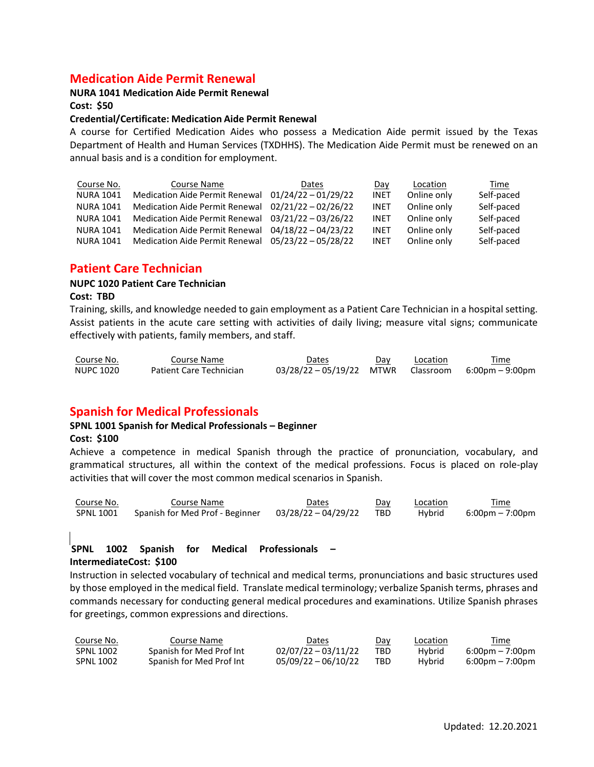# **Medication Aide Permit Renewal**

#### **NURA 1041 Medication Aide Permit Renewal**

**Cost: \$50**

#### **Credential/Certificate: Medication Aide Permit Renewal**

A course for Certified Medication Aides who possess a Medication Aide permit issued by the Texas Department of Health and Human Services (TXDHHS). The Medication Aide Permit must be renewed on an annual basis and is a condition for employment.

| Course No.       | Course Name                           | Dates                 | Day         | Location    | Time       |
|------------------|---------------------------------------|-----------------------|-------------|-------------|------------|
| <b>NURA 1041</b> | Medication Aide Permit Renewal        | $01/24/22 - 01/29/22$ | <b>INET</b> | Online only | Self-paced |
| <b>NURA 1041</b> | <b>Medication Aide Permit Renewal</b> | $02/21/22 - 02/26/22$ | <b>INET</b> | Online only | Self-paced |
| <b>NURA 1041</b> | Medication Aide Permit Renewal        | 03/21/22 - 03/26/22   | <b>INET</b> | Online only | Self-paced |
| <b>NURA 1041</b> | <b>Medication Aide Permit Renewal</b> | $04/18/22 - 04/23/22$ | <b>INET</b> | Online only | Self-paced |
| <b>NURA 1041</b> | <b>Medication Aide Permit Renewal</b> | $05/23/22 - 05/28/22$ | <b>INET</b> | Online only | Self-paced |

# **Patient Care Technician**

#### **NUPC 1020 Patient Care Technician**

#### **Cost: TBD**

Training, skills, and knowledge needed to gain employment as a Patient Care Technician in a hospital setting. Assist patients in the acute care setting with activities of daily living; measure vital signs; communicate effectively with patients, family members, and staff.

| Course No. | Course Name                    | Dates                                              | Day | Location | Time |
|------------|--------------------------------|----------------------------------------------------|-----|----------|------|
| NUPC 1020  | <b>Patient Care Technician</b> | 03/28/22 - 05/19/22 MTWR Classroom 6:00pm - 9:00pm |     |          |      |

# **Spanish for Medical Professionals**

#### **SPNL 1001 Spanish for Medical Professionals – Beginner**

#### **Cost: \$100**

Achieve a competence in medical Spanish through the practice of pronunciation, vocabulary, and grammatical structures, all within the context of the medical professions. Focus is placed on role-play activities that will cover the most common medical scenarios in Spanish.

| Course No. | Course Name                     | Dates                 | Day | Location | Time            |
|------------|---------------------------------|-----------------------|-----|----------|-----------------|
| SPNL 1001  | Spanish for Med Prof - Beginner | 03/28/22-04/29/22 TBD |     | Hybrid   | 6:00pm – 7:00pm |

#### **SPNL 1002 Spanish for Medical Professionals – IntermediateCost: \$100**

Instruction in selected vocabulary of technical and medical terms, pronunciations and basic structures used by those employed in the medical field. Translate medical terminology; verbalize Spanish terms, phrases and commands necessary for conducting general medical procedures and examinations. Utilize Spanish phrases for greetings, common expressions and directions.

| Course No.       | Course Name              | Dates                 | <u>Day</u> | Location | Time                              |
|------------------|--------------------------|-----------------------|------------|----------|-----------------------------------|
| <b>SPNL 1002</b> | Spanish for Med Prof Int | $02/07/22 - 03/11/22$ | TBD        | Hybrid   | $6:00 \text{pm} - 7:00 \text{pm}$ |
| <b>SPNL 1002</b> | Spanish for Med Prof Int | $05/09/22 - 06/10/22$ | TBD        | Hybrid   | $6:00 \text{pm} - 7:00 \text{pm}$ |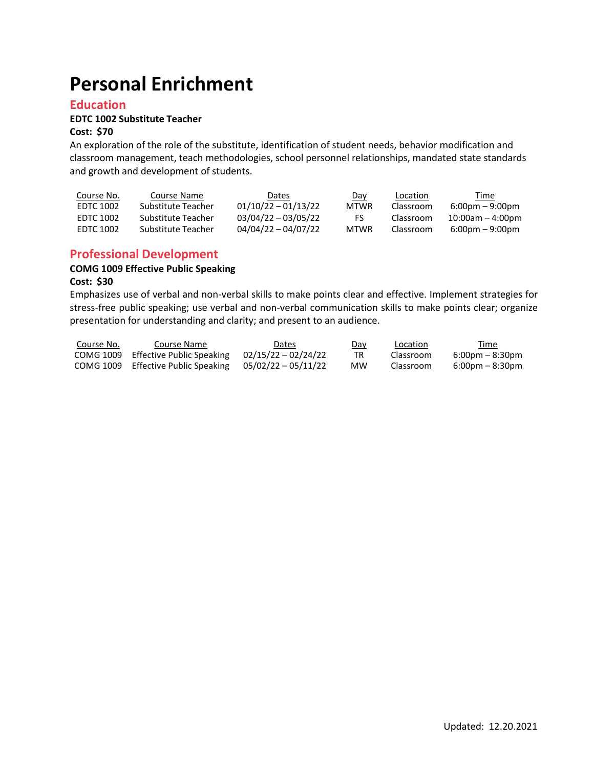# **Personal Enrichment**

### **Education**

# **EDTC 1002 Substitute Teacher**

#### **Cost: \$70**

An exploration of the role of the substitute, identification of student needs, behavior modification and classroom management, teach methodologies, school personnel relationships, mandated state standards and growth and development of students.

| Course No. | Course Name        | <b>Dates</b>          | <u>Day</u>  | Location  | Time                                      |
|------------|--------------------|-----------------------|-------------|-----------|-------------------------------------------|
| EDTC 1002  | Substitute Teacher | $01/10/22 - 01/13/22$ | <b>MTWR</b> | Classroom | $6:00 \text{pm} - 9:00 \text{pm}$         |
| FDTC 1002  | Substitute Teacher | $03/04/22 - 03/05/22$ | FS.         | Classroom | $10:00$ am $-4:00$ pm                     |
| FDTC 1002  | Substitute Teacher | 04/04/22 - 04/07/22   | <b>MTWR</b> | Classroom | $6:00 \,\mathrm{pm} - 9:00 \,\mathrm{pm}$ |

### **Professional Development**

# **COMG 1009 Effective Public Speaking**

# **Cost: \$30**

Emphasizes use of verbal and non-verbal skills to make points clear and effective. Implement strategies for stress-free public speaking; use verbal and non-verbal communication skills to make points clear; organize presentation for understanding and clarity; and present to an audience.

| Course No. | Course Name                                               | Dates | Day | Location  | Time                              |
|------------|-----------------------------------------------------------|-------|-----|-----------|-----------------------------------|
|            | COMG 1009 Effective Public Speaking $02/15/22 - 02/24/22$ |       | TR. | Classroom | $6:00 \text{pm} - 8:30 \text{pm}$ |
|            | COMG 1009 Effective Public Speaking $05/02/22 - 05/11/22$ |       | МW  | Classroom | $6:00 \text{pm} - 8:30 \text{pm}$ |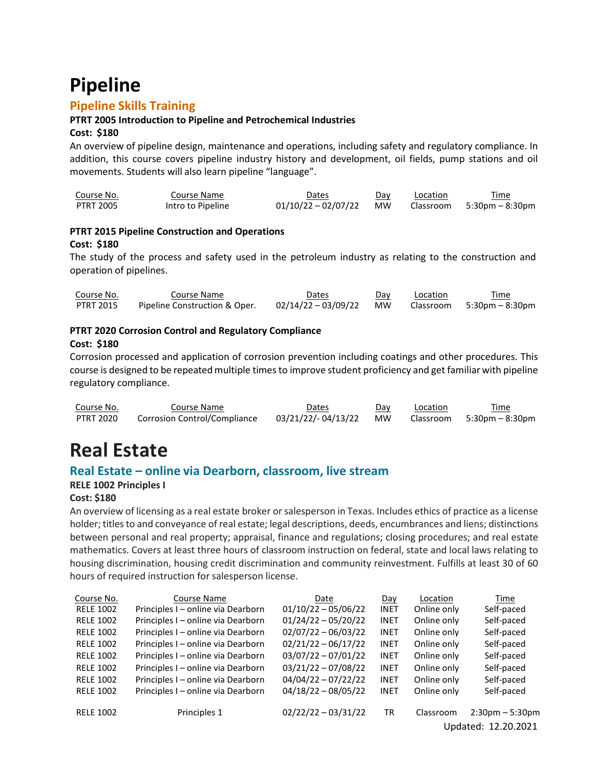# **Pipeline**

# **Pipeline Skills Training**

#### **PTRT 2005 Introduction to Pipeline and Petrochemical Industries**

#### **Cost: \$180**

An overview of pipeline design, maintenance and operations, including safety and regulatory compliance. In addition, this course covers pipeline industry history and development, oil fields, pump stations and oil movements. Students will also learn pipeline "language".

| Course No. | Course Name       | Dates               | Dav       | Location | Time                          |
|------------|-------------------|---------------------|-----------|----------|-------------------------------|
| PTRT 2005  | Intro to Pipeline | 01/10/22 - 02/07/22 | <b>MW</b> |          | $Classroom = 5:30pm - 8:30pm$ |

### **PTRT 2015 Pipeline Construction and Operations Cost: \$180**

The study of the process and safety used in the petroleum industry as relating to the construction and operation of pipelines.

| Course No. | Course Name                   | Dates                  | Day | Location | Time                          |
|------------|-------------------------------|------------------------|-----|----------|-------------------------------|
| PTRT 2015  | Pipeline Construction & Oper. | 02/14/22 – 03/09/22 MW |     |          | $Classroom = 5:30pm - 8:30pm$ |

#### **PTRT 2020 Corrosion Control and Regulatory Compliance**

#### **Cost: \$180**

Corrosion processed and application of corrosion prevention including coatings and other procedures. This course is designed to be repeated multiple times to improve student proficiency and get familiar with pipeline regulatory compliance.

| Course No. | Course Name                         | Dates                 | Day | Location | Time                      |
|------------|-------------------------------------|-----------------------|-----|----------|---------------------------|
| PTRT 2020  | <b>Corrosion Control/Compliance</b> | 03/21/22/-04/13/22 MW |     |          | Classroom 5:30pm – 8:30pm |

# **Real Estate**

# **Real Estate – online via Dearborn, classroom, live stream**

#### **RELE 1002 Principles I**

#### **Cost: \$180**

An overview of licensing as a real estate broker orsalesperson in Texas. Includes ethics of practice as a license holder; titles to and conveyance of real estate; legal descriptions, deeds, encumbrances and liens; distinctions between personal and real property; appraisal, finance and regulations; closing procedures; and real estate mathematics. Covers at least three hours of classroom instruction on federal, state and local laws relating to housing discrimination, housing credit discrimination and community reinvestment. Fulfills at least 30 of 60 hours of required instruction for salesperson license.

| Course No.       | Course Name                        | Date                  | Day         | Location    | Time                |
|------------------|------------------------------------|-----------------------|-------------|-------------|---------------------|
| <b>RELE 1002</b> | Principles I – online via Dearborn | $01/10/22 - 05/06/22$ | <b>INET</b> | Online only | Self-paced          |
| <b>RELE 1002</b> | Principles I – online via Dearborn | $01/24/22 - 05/20/22$ | <b>INET</b> | Online only | Self-paced          |
| <b>RELE 1002</b> | Principles I - online via Dearborn | $02/07/22 - 06/03/22$ | <b>INET</b> | Online only | Self-paced          |
| <b>RELE 1002</b> | Principles I - online via Dearborn | $02/21/22 - 06/17/22$ | <b>INET</b> | Online only | Self-paced          |
| <b>RELE 1002</b> | Principles I - online via Dearborn | $03/07/22 - 07/01/22$ | <b>INET</b> | Online only | Self-paced          |
| <b>RELE 1002</b> | Principles I - online via Dearborn | $03/21/22 - 07/08/22$ | <b>INET</b> | Online only | Self-paced          |
| <b>RELE 1002</b> | Principles I – online via Dearborn | $04/04/22 - 07/22/22$ | <b>INET</b> | Online only | Self-paced          |
| <b>RELE 1002</b> | Principles I - online via Dearborn | $04/18/22 - 08/05/22$ | <b>INET</b> | Online only | Self-paced          |
| <b>RELE 1002</b> | Principles 1                       | $02/22/22 - 03/31/22$ | <b>TR</b>   | Classroom   | $2:30pm - 5:30pm$   |
|                  |                                    |                       |             |             | Updated: 12.20.2021 |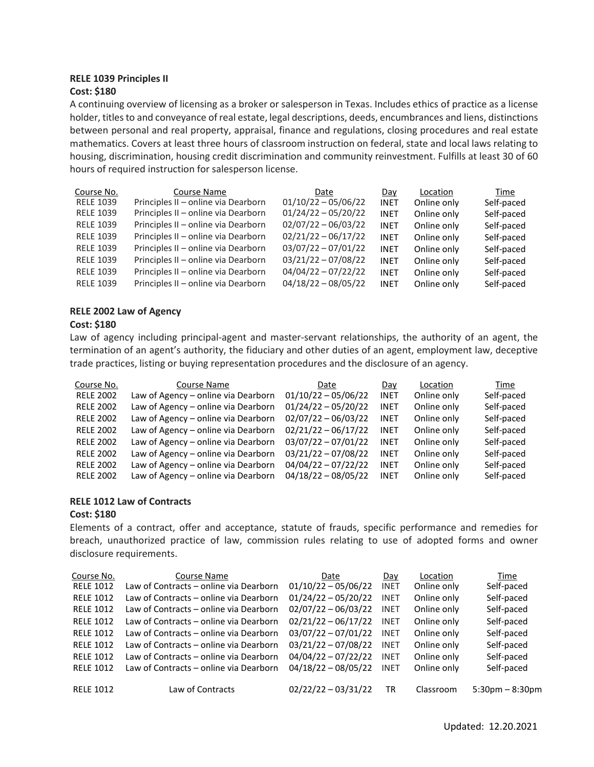#### **RELE 1039 Principles II Cost: \$180**

A continuing overview of licensing as a broker or salesperson in Texas. Includes ethics of practice as a license holder, titles to and conveyance of real estate, legal descriptions, deeds, encumbrances and liens, distinctions between personal and real property, appraisal, finance and regulations, closing procedures and real estate mathematics. Covers at least three hours of classroom instruction on federal, state and local laws relating to housing, discrimination, housing credit discrimination and community reinvestment. Fulfills at least 30 of 60 hours of required instruction for salesperson license.

| Course No.       | Course Name                         | Date                  | Day         | Location    | Time       |
|------------------|-------------------------------------|-----------------------|-------------|-------------|------------|
| <b>RELE 1039</b> | Principles II - online via Dearborn | $01/10/22 - 05/06/22$ | <b>INET</b> | Online only | Self-paced |
| <b>RELE 1039</b> | Principles II - online via Dearborn | $01/24/22 - 05/20/22$ | <b>INET</b> | Online only | Self-paced |
| <b>RELE 1039</b> | Principles II - online via Dearborn | $02/07/22 - 06/03/22$ | <b>INET</b> | Online only | Self-paced |
| <b>RELE 1039</b> | Principles II - online via Dearborn | $02/21/22 - 06/17/22$ | <b>INET</b> | Online only | Self-paced |
| <b>RELE 1039</b> | Principles II - online via Dearborn | $03/07/22 - 07/01/22$ | <b>INET</b> | Online only | Self-paced |
| <b>RELE 1039</b> | Principles II - online via Dearborn | $03/21/22 - 07/08/22$ | <b>INET</b> | Online only | Self-paced |
| <b>RELE 1039</b> | Principles II - online via Dearborn | $04/04/22 - 07/22/22$ | <b>INET</b> | Online only | Self-paced |
| <b>RELE 1039</b> | Principles II - online via Dearborn | $04/18/22 - 08/05/22$ | <b>INET</b> | Online only | Self-paced |

#### **RELE 2002 Law of Agency**

#### **Cost: \$180**

Law of agency including principal-agent and master-servant relationships, the authority of an agent, the termination of an agent's authority, the fiduciary and other duties of an agent, employment law, deceptive trade practices, listing or buying representation procedures and the disclosure of an agency.

| Course No.       | Course Name                         | Date                  | Day         | Location    | Time       |
|------------------|-------------------------------------|-----------------------|-------------|-------------|------------|
| <b>RELE 2002</b> | Law of Agency – online via Dearborn | $01/10/22 - 05/06/22$ | <b>INET</b> | Online only | Self-paced |
| <b>RELE 2002</b> | Law of Agency - online via Dearborn | $01/24/22 - 05/20/22$ | <b>INET</b> | Online only | Self-paced |
| <b>RELE 2002</b> | Law of Agency - online via Dearborn | $02/07/22 - 06/03/22$ | <b>INET</b> | Online only | Self-paced |
| <b>RELE 2002</b> | Law of Agency - online via Dearborn | $02/21/22 - 06/17/22$ | <b>INET</b> | Online only | Self-paced |
| <b>RELE 2002</b> | Law of Agency - online via Dearborn | $03/07/22 - 07/01/22$ | <b>INET</b> | Online only | Self-paced |
| <b>RELE 2002</b> | Law of Agency - online via Dearborn | $03/21/22 - 07/08/22$ | <b>INET</b> | Online only | Self-paced |
| <b>RELE 2002</b> | Law of Agency – online via Dearborn | $04/04/22 - 07/22/22$ | <b>INET</b> | Online only | Self-paced |
| <b>RELE 2002</b> | Law of Agency - online via Dearborn | $04/18/22 - 08/05/22$ | <b>INET</b> | Online only | Self-paced |

#### **RELE 1012 Law of Contracts**

#### **Cost: \$180**

Elements of a contract, offer and acceptance, statute of frauds, specific performance and remedies for breach, unauthorized practice of law, commission rules relating to use of adopted forms and owner disclosure requirements.

| Course No.       | Course Name                            | Date                  | Day         | Location    | Time                 |
|------------------|----------------------------------------|-----------------------|-------------|-------------|----------------------|
| <b>RELE 1012</b> | Law of Contracts - online via Dearborn | $01/10/22 - 05/06/22$ | <b>INET</b> | Online only | Self-paced           |
| <b>RELE 1012</b> | Law of Contracts – online via Dearborn | $01/24/22 - 05/20/22$ | INET        | Online only | Self-paced           |
| <b>RELE 1012</b> | Law of Contracts – online via Dearborn | $02/07/22 - 06/03/22$ | INET        | Online only | Self-paced           |
| <b>RELE 1012</b> | Law of Contracts – online via Dearborn | $02/21/22 - 06/17/22$ | INET        | Online only | Self-paced           |
| <b>RELE 1012</b> | Law of Contracts – online via Dearborn | $03/07/22 - 07/01/22$ | INET        | Online only | Self-paced           |
| <b>RELE 1012</b> | Law of Contracts – online via Dearborn | $03/21/22 - 07/08/22$ | INET        | Online only | Self-paced           |
| <b>RELE 1012</b> | Law of Contracts – online via Dearborn | $04/04/22 - 07/22/22$ | <b>INET</b> | Online only | Self-paced           |
| <b>RELE 1012</b> | Law of Contracts – online via Dearborn | $04/18/22 - 08/05/22$ | INET        | Online only | Self-paced           |
| <b>RELE 1012</b> | Law of Contracts                       | $02/22/22 - 03/31/22$ | TR          | Classroom   | $5:30$ pm $-8:30$ pm |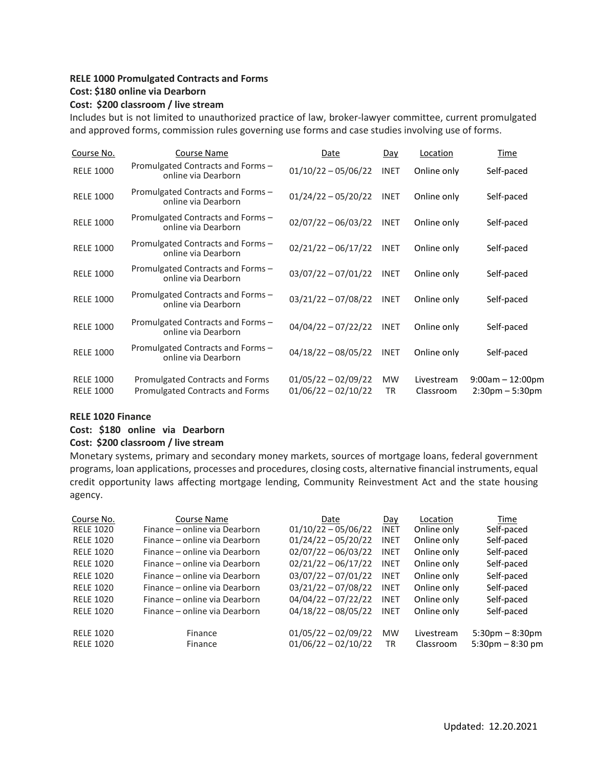#### **RELE 1000 Promulgated Contracts and Forms Cost: \$180 online via Dearborn**

#### **Cost: \$200 classroom / live stream**

Includes but is not limited to unauthorized practice of law, broker-lawyer committee, current promulgated and approved forms, commission rules governing use forms and case studies involving use of forms.

| Course No.                           | <b>Course Name</b>                                                 | Date                                           | Day             | Location                | Time                                                       |
|--------------------------------------|--------------------------------------------------------------------|------------------------------------------------|-----------------|-------------------------|------------------------------------------------------------|
| <b>RELE 1000</b>                     | Promulgated Contracts and Forms -<br>online via Dearborn           | $01/10/22 - 05/06/22$                          | <b>INET</b>     | Online only             | Self-paced                                                 |
| <b>RELE 1000</b>                     | Promulgated Contracts and Forms -<br>online via Dearborn           | $01/24/22 - 05/20/22$                          | <b>INET</b>     | Online only             | Self-paced                                                 |
| <b>RELE 1000</b>                     | Promulgated Contracts and Forms -<br>online via Dearborn           | $02/07/22 - 06/03/22$                          | <b>INET</b>     | Online only             | Self-paced                                                 |
| <b>RELE 1000</b>                     | Promulgated Contracts and Forms -<br>online via Dearborn           | $02/21/22 - 06/17/22$                          | <b>INET</b>     | Online only             | Self-paced                                                 |
| <b>RELE 1000</b>                     | Promulgated Contracts and Forms -<br>online via Dearborn           | $03/07/22 - 07/01/22$                          | <b>INET</b>     | Online only             | Self-paced                                                 |
| <b>RELE 1000</b>                     | Promulgated Contracts and Forms -<br>online via Dearborn           | $03/21/22 - 07/08/22$                          | <b>INET</b>     | Online only             | Self-paced                                                 |
| <b>RELE 1000</b>                     | Promulgated Contracts and Forms -<br>online via Dearborn           | $04/04/22 - 07/22/22$                          | <b>INET</b>     | Online only             | Self-paced                                                 |
| <b>RELE 1000</b>                     | Promulgated Contracts and Forms -<br>online via Dearborn           | $04/18/22 - 08/05/22$                          | <b>INET</b>     | Online only             | Self-paced                                                 |
| <b>RELE 1000</b><br><b>RELE 1000</b> | Promulgated Contracts and Forms<br>Promulgated Contracts and Forms | $01/05/22 - 02/09/22$<br>$01/06/22 - 02/10/22$ | <b>MW</b><br>TR | Livestream<br>Classroom | $9:00$ am $-12:00$ pm<br>$2:30 \text{pm} - 5:30 \text{pm}$ |

#### **RELE 1020 Finance**

#### **Cost: \$180 online via Dearborn**

#### **Cost: \$200 classroom / live stream**

Monetary systems, primary and secondary money markets, sources of mortgage loans, federal government programs, loan applications, processes and procedures, closing costs, alternative financial instruments, equal credit opportunity laws affecting mortgage lending, Community Reinvestment Act and the state housing agency.

| Course No.       | Course Name                   | Date                  | Day         | Location    | Time                              |
|------------------|-------------------------------|-----------------------|-------------|-------------|-----------------------------------|
| <b>RELE 1020</b> | Finance – online via Dearborn | $01/10/22 - 05/06/22$ | <b>INET</b> | Online only | Self-paced                        |
| <b>RELE 1020</b> | Finance – online via Dearborn | $01/24/22 - 05/20/22$ | <b>INET</b> | Online only | Self-paced                        |
| <b>RELE 1020</b> | Finance – online via Dearborn | $02/07/22 - 06/03/22$ | <b>INET</b> | Online only | Self-paced                        |
| <b>RELE 1020</b> | Finance – online via Dearborn | $02/21/22 - 06/17/22$ | <b>INET</b> | Online only | Self-paced                        |
| <b>RELE 1020</b> | Finance – online via Dearborn | $03/07/22 - 07/01/22$ | <b>INET</b> | Online only | Self-paced                        |
| <b>RELE 1020</b> | Finance – online via Dearborn | $03/21/22 - 07/08/22$ | <b>INET</b> | Online only | Self-paced                        |
| <b>RFIF 1020</b> | Finance – online via Dearborn | $04/04/22 - 07/22/22$ | <b>INET</b> | Online only | Self-paced                        |
| <b>RELE 1020</b> | Finance – online via Dearborn | $04/18/22 - 08/05/22$ | <b>INET</b> | Online only | Self-paced                        |
| <b>RELE 1020</b> | Finance                       | $01/05/22 - 02/09/22$ | <b>MW</b>   | Livestream  | $5:30 \text{pm} - 8:30 \text{pm}$ |
| <b>RELE 1020</b> | Finance                       | $01/06/22 - 02/10/22$ | <b>TR</b>   | Classroom   | $5:30 \text{pm} - 8:30 \text{pm}$ |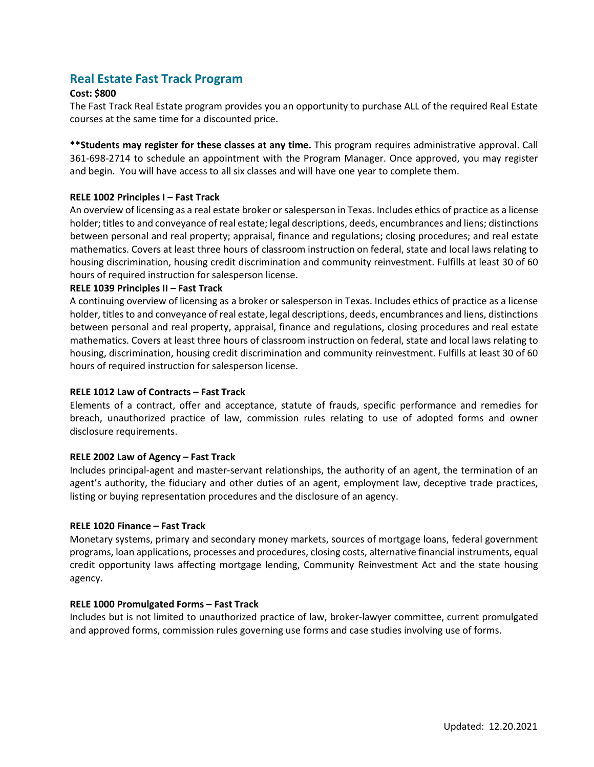# **Real Estate Fast Track Program**

#### **Cost: \$800**

The Fast Track Real Estate program provides you an opportunity to purchase ALL of the required Real Estate courses at the same time for a discounted price.

**\*\*Students may register for these classes at any time.** This program requires administrative approval. Call 361-698-2714 to schedule an appointment with the Program Manager. Once approved, you may register and begin. You will have access to all six classes and will have one year to complete them.

#### **RELE 1002 Principles I – Fast Track**

An overview of licensing as a real estate broker orsalesperson in Texas. Includes ethics of practice as a license holder; titles to and conveyance of real estate; legal descriptions, deeds, encumbrances and liens; distinctions between personal and real property; appraisal, finance and regulations; closing procedures; and real estate mathematics. Covers at least three hours of classroom instruction on federal, state and local laws relating to housing discrimination, housing credit discrimination and community reinvestment. Fulfills at least 30 of 60 hours of required instruction for salesperson license.

#### **RELE 1039 Principles II – Fast Track**

A continuing overview of licensing as a broker or salesperson in Texas. Includes ethics of practice as a license holder, titles to and conveyance of real estate, legal descriptions, deeds, encumbrances and liens, distinctions between personal and real property, appraisal, finance and regulations, closing procedures and real estate mathematics. Covers at least three hours of classroom instruction on federal, state and local laws relating to housing, discrimination, housing credit discrimination and community reinvestment. Fulfills at least 30 of 60 hours of required instruction for salesperson license.

#### **RELE 1012 Law of Contracts – Fast Track**

Elements of a contract, offer and acceptance, statute of frauds, specific performance and remedies for breach, unauthorized practice of law, commission rules relating to use of adopted forms and owner disclosure requirements.

#### **RELE 2002 Law of Agency – Fast Track**

Includes principal-agent and master-servant relationships, the authority of an agent, the termination of an agent's authority, the fiduciary and other duties of an agent, employment law, deceptive trade practices, listing or buying representation procedures and the disclosure of an agency.

#### **RELE 1020 Finance – Fast Track**

Monetary systems, primary and secondary money markets, sources of mortgage loans, federal government programs, loan applications, processes and procedures, closing costs, alternative financial instruments, equal credit opportunity laws affecting mortgage lending, Community Reinvestment Act and the state housing agency.

#### **RELE 1000 Promulgated Forms – Fast Track**

Includes but is not limited to unauthorized practice of law, broker-lawyer committee, current promulgated and approved forms, commission rules governing use forms and case studies involving use of forms.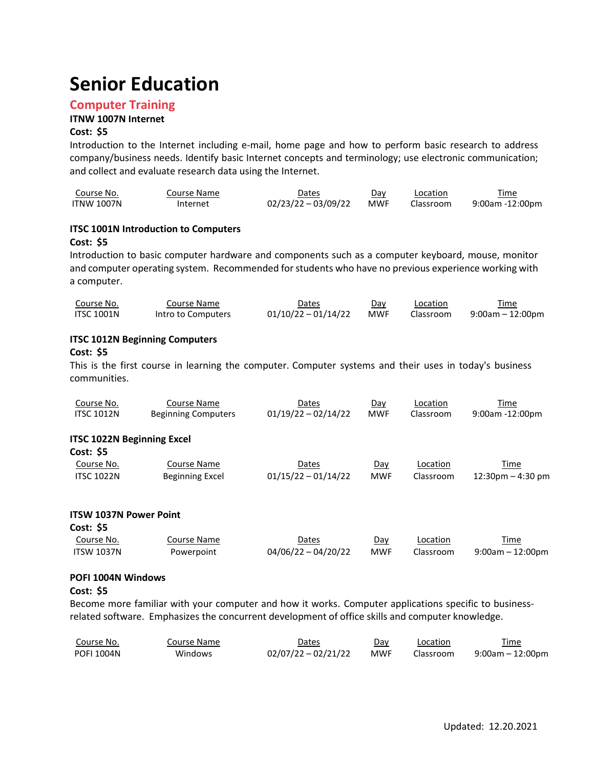# **Senior Education**

### **Computer Training**

#### **ITNW 1007N Internet**

#### **Cost: \$5**

Introduction to the Internet including e-mail, home page and how to perform basic research to address company/business needs. Identify basic Internet concepts and terminology; use electronic communication; and collect and evaluate research data using the Internet.

| Course No. | Course Name | Dates                 | Dav        | Location  | Time            |
|------------|-------------|-----------------------|------------|-----------|-----------------|
| ITNW 1007N | Internet    | $02/23/22 - 03/09/22$ | <b>MWF</b> | Classroom | 9:00am -12:00pm |

#### **ITSC 1001N Introduction to Computers Cost: \$5**

Introduction to basic computer hardware and components such as a computer keyboard, mouse, monitor and computer operating system. Recommended forstudents who have no previous experience working with a computer.

| Course No.        | Course Name        | Dates               | Dav | Location  | Time             |
|-------------------|--------------------|---------------------|-----|-----------|------------------|
| <b>ITSC 1001N</b> | Intro to Computers | 01/10/22 - 01/14/22 | MWF | Classroom | 9:00am – 12:00pm |

#### **ITSC 1012N Beginning Computers**

#### **Cost: \$5**

This is the first course in learning the computer. Computer systems and their uses in today's business communities.

| Course No.                                     | Course Name                | Dates                 | Day        | Location  | Time                               |
|------------------------------------------------|----------------------------|-----------------------|------------|-----------|------------------------------------|
| <b>ITSC 1012N</b>                              | <b>Beginning Computers</b> | $01/19/22 - 02/14/22$ | <b>MWF</b> | Classroom | $9:00$ am -12:00pm                 |
| <b>ITSC 1022N Beginning Excel</b><br>Cost: \$5 |                            |                       |            |           |                                    |
| Course No.                                     | Course Name                | Dates                 | Day        | Location  | Time                               |
| <b>ITSC 1022N</b>                              | <b>Beginning Excel</b>     | $01/15/22 - 01/14/22$ | <b>MWF</b> | Classroom | $12:30 \text{pm} - 4:30 \text{pm}$ |

#### **ITSW 1037N Power Point**

| <b>Cost: \$5</b>  |             |                       |            |           |                     |
|-------------------|-------------|-----------------------|------------|-----------|---------------------|
| Course No.        | Course Name | Dates                 | Dav        | Location  | Time                |
| <b>ITSW 1037N</b> | Powerpoint  | $04/06/22 - 04/20/22$ | <b>MWF</b> | Classroom | $9:00$ am - 12:00pm |

#### **POFI 1004N Windows**

#### **Cost: \$5**

Become more familiar with your computer and how it works. Computer applications specific to businessrelated software. Emphasizes the concurrent development of office skills and computer knowledge.

| Course No.        | Course Name | Dates               | Day | Location  | Time             |
|-------------------|-------------|---------------------|-----|-----------|------------------|
| <b>POFI 1004N</b> | Windows     | 02/07/22 - 02/21/22 | MWF | Classroom | 9:00am – 12:00pm |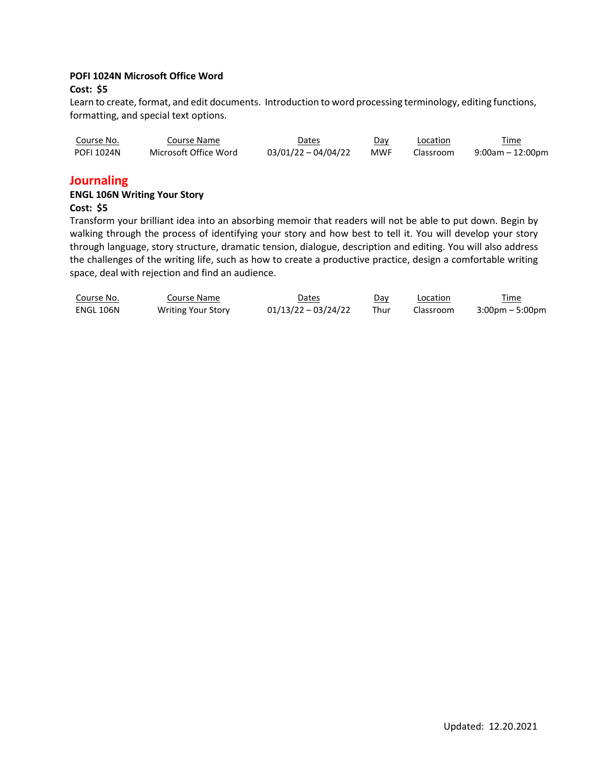#### **POFI 1024N Microsoft Office Word**

#### **Cost: \$5**

Learn to create, format, and edit documents. Introduction to word processing terminology, editing functions, formatting, and special text options.

| Course No.        | Course Name           | Dates               | Day        | Location  | Time             |
|-------------------|-----------------------|---------------------|------------|-----------|------------------|
| <b>POFI 1024N</b> | Microsoft Office Word | 03/01/22 - 04/04/22 | <b>MWF</b> | Classroom | 9:00am – 12:00pm |

### **Journaling**

#### **ENGL 106N Writing Your Story**

#### **Cost: \$5**

Transform your brilliant idea into an absorbing memoir that readers will not be able to put down. Begin by walking through the process of identifying your story and how best to tell it. You will develop your story through language, story structure, dramatic tension, dialogue, description and editing. You will also address the challenges of the writing life, such as how to create a productive practice, design a comfortable writing space, deal with rejection and find an audience.

| Course No.       | Course Name               | <b>Dates</b>        | Day  | Location  | Time                              |
|------------------|---------------------------|---------------------|------|-----------|-----------------------------------|
| <b>ENGL 106N</b> | <b>Writing Your Story</b> | 01/13/22 - 03/24/22 | Thur | Classroom | $3:00 \text{pm} - 5:00 \text{pm}$ |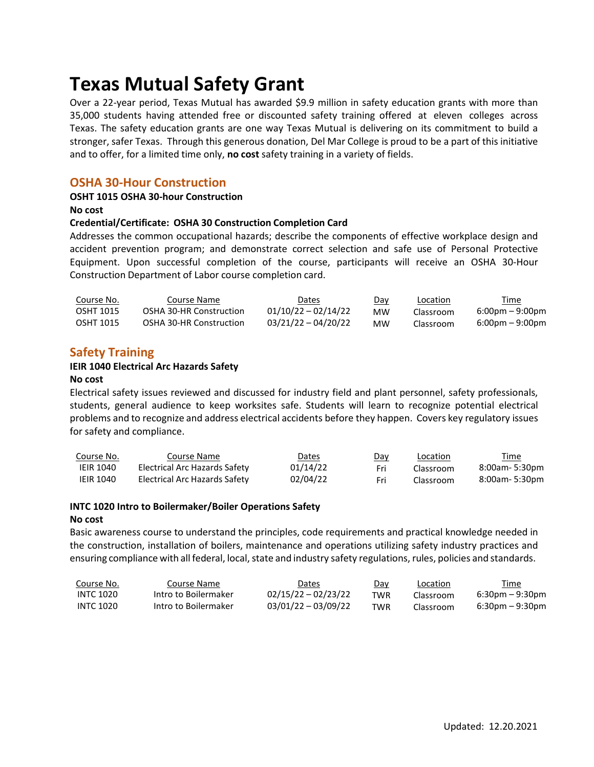# **Texas Mutual Safety Grant**

Over a 22-year period, Texas Mutual has awarded \$9.9 million in safety education grants with more than 35,000 students having attended free or discounted safety training offered at eleven colleges across Texas. The safety education grants are one way Texas Mutual is delivering on its commitment to build a stronger, safer Texas. Through this generous donation, Del Mar College is proud to be a part of this initiative and to offer, for a limited time only, **no cost** safety training in a variety of fields.

# **OSHA 30-Hour Construction**

#### **OSHT 1015 OSHA 30-hour Construction**

**No cost**

#### **Credential/Certificate: OSHA 30 Construction Completion Card**

Addresses the common occupational hazards; describe the components of effective workplace design and accident prevention program; and demonstrate correct selection and safe use of Personal Protective Equipment. Upon successful completion of the course, participants will receive an OSHA 30-Hour Construction Department of Labor course completion card.

| Course No. | Course Name             | Dates                 | <u>Day</u> | Location  | <u>Time</u>                       |
|------------|-------------------------|-----------------------|------------|-----------|-----------------------------------|
| OSHT 1015  | OSHA 30-HR Construction | $01/10/22 - 02/14/22$ | мw         | Classroom | $6:00 \text{pm} - 9:00 \text{pm}$ |
| OSHT 1015  | OSHA 30-HR Construction | $03/21/22 - 04/20/22$ | мw         | Classroom | $6:00 \text{pm} - 9:00 \text{pm}$ |

# **Safety Training**

#### **IEIR 1040 Electrical Arc Hazards Safety**

#### **No cost**

Electrical safety issues reviewed and discussed for industry field and plant personnel, safety professionals, students, general audience to keep worksites safe. Students will learn to recognize potential electrical problems and to recognize and address electrical accidents before they happen. Covers key regulatory issues for safety and compliance.

| Course No.       | Course Name                   | Dates    | <u>Day</u> | <b>Location</b> | <u>Time</u>    |
|------------------|-------------------------------|----------|------------|-----------------|----------------|
| <b>IEIR 1040</b> | Electrical Arc Hazards Safety | 01/14/22 | Fri        | Classroom       | 8:00am- 5:30pm |
| <b>IEIR 1040</b> | Electrical Arc Hazards Safety | 02/04/22 |            | Classroom       | 8:00am- 5:30pm |

#### **INTC 1020 Intro to Boilermaker/Boiler Operations Safety**

#### **No cost**

Basic awareness course to understand the principles, code requirements and practical knowledge needed in the construction, installation of boilers, maintenance and operations utilizing safety industry practices and ensuring compliance with all federal, local, state and industry safety regulations, rules, policies and standards.

| Course No.       | Course Name          | Dates                 | Day | <b>Location</b> | Time               |
|------------------|----------------------|-----------------------|-----|-----------------|--------------------|
| INTC 1020        | Intro to Boilermaker | $02/15/22 - 02/23/22$ | TWR | Classroom       | $6:30$ pm – 9:30pm |
| <b>INTC 1020</b> | Intro to Boilermaker | $03/01/22 - 03/09/22$ | TWR | Classroom       | $6:30$ pm – 9:30pm |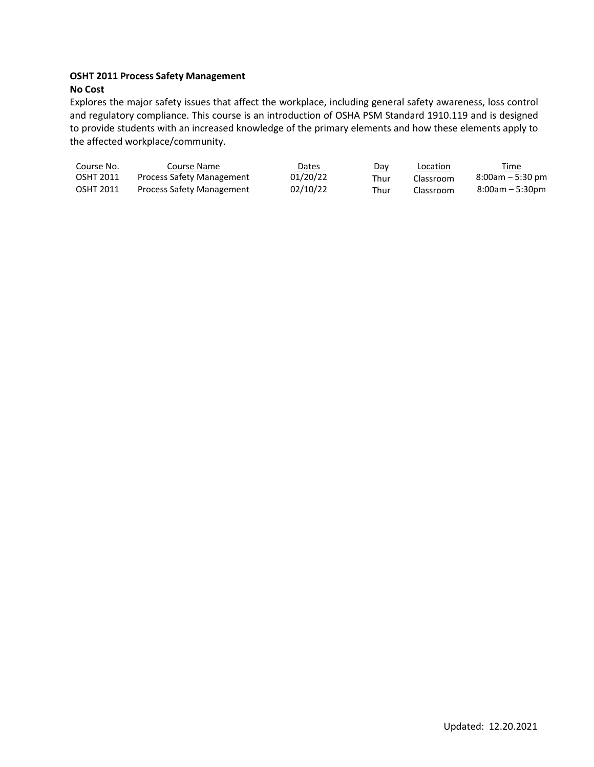#### **OSHT 2011 Process Safety Management No Cost**

Explores the major safety issues that affect the workplace, including general safety awareness, loss control and regulatory compliance. This course is an introduction of OSHA PSM Standard 1910.119 and is designed to provide students with an increased knowledge of the primary elements and how these elements apply to the affected workplace/community.

| Course No.       | Course Name                      | Dates    | <u>Day</u> | Location  | Time                |
|------------------|----------------------------------|----------|------------|-----------|---------------------|
| <b>OSHT 2011</b> | <b>Process Safety Management</b> | 01/20/22 | Thur       | Classroom | $8:00$ am – 5:30 pm |
| <b>OSHT 2011</b> | Process Safety Management        | 02/10/22 | Thur       | Classroom | $8:00am - 5:30pm$   |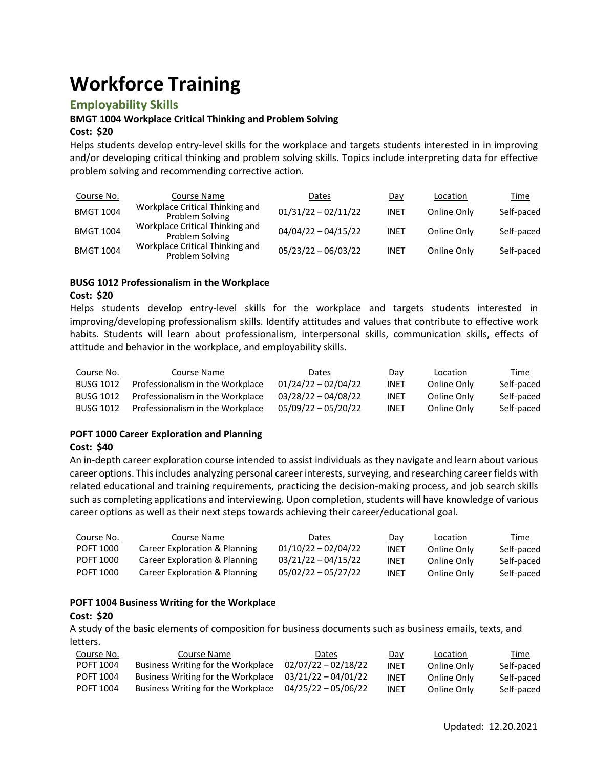# **Workforce Training**

### **Employability Skills**

#### **BMGT 1004 Workplace Critical Thinking and Problem Solving**

#### **Cost: \$20**

Helps students develop entry-level skills for the workplace and targets students interested in in improving and/or developing critical thinking and problem solving skills. Topics include interpreting data for effective problem solving and recommending corrective action.

| Course No.       | Course Name                                        | Dates                 | Day         | Location    | <u>Time</u> |
|------------------|----------------------------------------------------|-----------------------|-------------|-------------|-------------|
| <b>BMGT 1004</b> | Workplace Critical Thinking and<br>Problem Solving | $01/31/22 - 02/11/22$ | <b>INET</b> | Online Only | Self-paced  |
| <b>BMGT 1004</b> | Workplace Critical Thinking and<br>Problem Solving | $04/04/22 - 04/15/22$ | <b>INET</b> | Online Only | Self-paced  |
| <b>BMGT 1004</b> | Workplace Critical Thinking and<br>Problem Solving | $05/23/22 - 06/03/22$ | <b>INET</b> | Online Only | Self-paced  |

# **BUSG 1012 Professionalism in the Workplace**

#### **Cost: \$20**

Helps students develop entry-level skills for the workplace and targets students interested in improving/developing professionalism skills. Identify attitudes and values that contribute to effective work habits. Students will learn about professionalism, interpersonal skills, communication skills, effects of attitude and behavior in the workplace, and employability skills.

| Course No.       | Course Name                      | Dates                 | <u>Day</u>  | Location    | <u>Time</u> |
|------------------|----------------------------------|-----------------------|-------------|-------------|-------------|
| <b>BUSG 1012</b> | Professionalism in the Workplace | $01/24/22 - 02/04/22$ | INET        | Online Only | Self-paced  |
| <b>BUSG 1012</b> | Professionalism in the Workplace | $03/28/22 - 04/08/22$ | <b>INET</b> | Online Only | Self-paced  |
| <b>BUSG 1012</b> | Professionalism in the Workplace | $05/09/22 - 05/20/22$ | INET        | Online Only | Self-paced  |

#### **POFT 1000 Career Exploration and Planning Cost: \$40**

An in-depth career exploration course intended to assist individuals as they navigate and learn about various career options. This includes analyzing personal career interests, surveying, and researching career fields with related educational and training requirements, practicing the decision-making process, and job search skills such as completing applications and interviewing. Upon completion, students will have knowledge of various career options as well as their next steps towards achieving their career/educational goal.

| Course No. | Course Name                   | Dates                 | Day  | Location    | Time       |
|------------|-------------------------------|-----------------------|------|-------------|------------|
| POFT 1000  | Career Exploration & Planning | $01/10/22 - 02/04/22$ | INET | Online Only | Self-paced |
| POFT 1000  | Career Exploration & Planning | $03/21/22 - 04/15/22$ | INET | Online Only | Self-paced |
| POFT 1000  | Career Exploration & Planning | $05/02/22 - 05/27/22$ | INET | Online Only | Self-paced |

#### **POFT 1004 Business Writing for the Workplace**

#### **Cost: \$20**

A study of the basic elements of composition for business documents such as business emails, texts, and letters.

| Course No. | Course Name                        | Dates                 | Day  | Location    | Time       |
|------------|------------------------------------|-----------------------|------|-------------|------------|
| POFT 1004  | Business Writing for the Workplace | $02/07/22 - 02/18/22$ | INET | Online Only | Self-paced |
| POFT 1004  | Business Writing for the Workplace | 03/21/22 - 04/01/22   | INET | Online Only | Self-paced |
| POFT 1004  | Business Writing for the Workplace | 04/25/22 - 05/06/22   | INET | Online Only | Self-paced |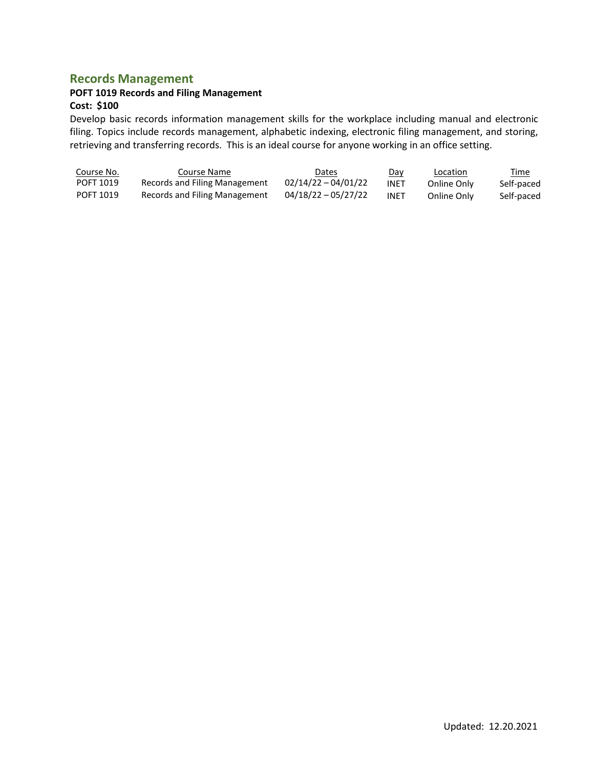# **Records Management**

# **POFT 1019 Records and Filing Management**

#### **Cost: \$100**

Develop basic records information management skills for the workplace including manual and electronic filing. Topics include records management, alphabetic indexing, electronic filing management, and storing, retrieving and transferring records. This is an ideal course for anyone working in an office setting.

| Course No. | Course Name                   | Dates                 | Day  | <b>Location</b> | <u>Time</u> |
|------------|-------------------------------|-----------------------|------|-----------------|-------------|
| POFT 1019  | Records and Filing Management | $02/14/22 - 04/01/22$ | INET | Online Only     | Self-paced  |
| POFT 1019  | Records and Filing Management | $04/18/22 - 05/27/22$ | INET | Online Only     | Self-paced  |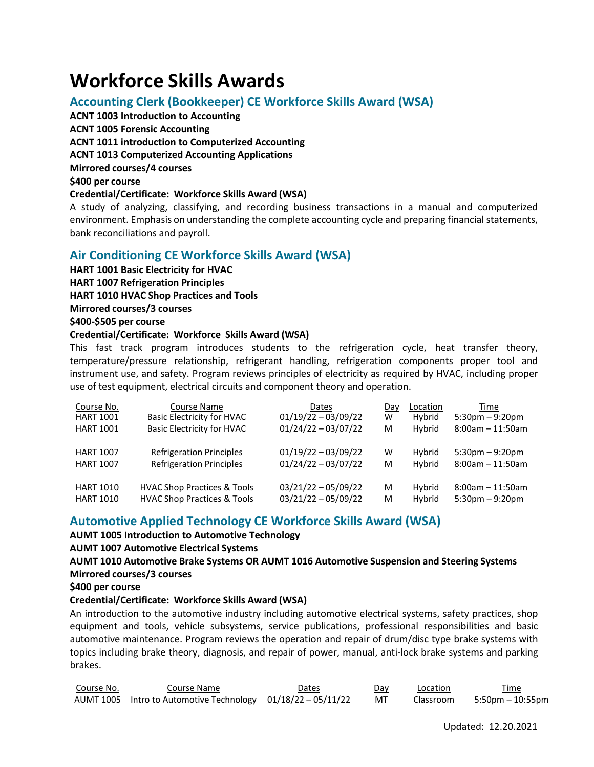# **Workforce Skills Awards**

# **Accounting Clerk (Bookkeeper) CE Workforce Skills Award (WSA)**

**ACNT 1003 Introduction to Accounting ACNT 1005 Forensic Accounting ACNT 1011 introduction to Computerized Accounting ACNT 1013 Computerized Accounting Applications Mirrored courses/4 courses \$400 per course Credential/Certificate: Workforce Skills Award (WSA)** A study of analyzing, classifying, and recording business transactions in a manual and computerized environment. Emphasis on understanding the complete accounting cycle and preparing financial statements,

# bank reconciliations and payroll.

# **Air Conditioning CE Workforce Skills Award (WSA)**

**HART 1001 Basic Electricity for HVAC**

**HART 1007 Refrigeration Principles**

**HART 1010 HVAC Shop Practices and Tools**

**Mirrored courses/3 courses**

**\$400-\$505 per course**

#### **Credential/Certificate: Workforce Skills Award (WSA)**

This fast track program introduces students to the refrigeration cycle, heat transfer theory, temperature/pressure relationship, refrigerant handling, refrigeration components proper tool and instrument use, and safety. Program reviews principles of electricity as required by HVAC, including proper use of test equipment, electrical circuits and component theory and operation.

| Course No.       | Course Name                            | <b>Dates</b>          | Day | Location | Time                  |
|------------------|----------------------------------------|-----------------------|-----|----------|-----------------------|
| <b>HART 1001</b> | <b>Basic Electricity for HVAC</b>      | $01/19/22 - 03/09/22$ | w   | Hybrid   | $5:30pm - 9:20pm$     |
| <b>HART 1001</b> | <b>Basic Electricity for HVAC</b>      | $01/24/22 - 03/07/22$ | M   | Hybrid   | $8:00am - 11:50am$    |
| <b>HART 1007</b> | <b>Refrigeration Principles</b>        | $01/19/22 - 03/09/22$ | w   | Hybrid   | $5:30$ pm $-9:20$ pm  |
| <b>HART 1007</b> | <b>Refrigeration Principles</b>        | $01/24/22 - 03/07/22$ | M   | Hybrid   | $8:00$ am $-11:50$ am |
| <b>HART 1010</b> | <b>HVAC Shop Practices &amp; Tools</b> | $03/21/22 - 05/09/22$ | м   | Hybrid   | $8:00$ am - 11:50am   |
| <b>HART 1010</b> | <b>HVAC Shop Practices &amp; Tools</b> | $03/21/22 - 05/09/22$ | M   | Hybrid   | $5:30$ pm $-9:20$ pm  |

# **Automotive Applied Technology CE Workforce Skills Award (WSA)**

**AUMT 1005 Introduction to Automotive Technology**

**AUMT 1007 Automotive Electrical Systems**

**AUMT 1010 Automotive Brake Systems OR AUMT 1016 Automotive Suspension and Steering Systems Mirrored courses/3 courses**

**\$400 per course**

#### **Credential/Certificate: Workforce Skills Award (WSA)**

An introduction to the automotive industry including automotive electrical systems, safety practices, shop equipment and tools, vehicle subsystems, service publications, professional responsibilities and basic automotive maintenance. Program reviews the operation and repair of drum/disc type brake systems with topics including brake theory, diagnosis, and repair of power, manual, anti-lock brake systems and parking brakes.

| Course No. | Course Name                                                  | Dates | Day | Location  | Time             |
|------------|--------------------------------------------------------------|-------|-----|-----------|------------------|
|            | AUMT 1005 Intro to Automotive Technology 01/18/22 - 05/11/22 |       | MT  | Classroom | 5:50pm – 10:55pm |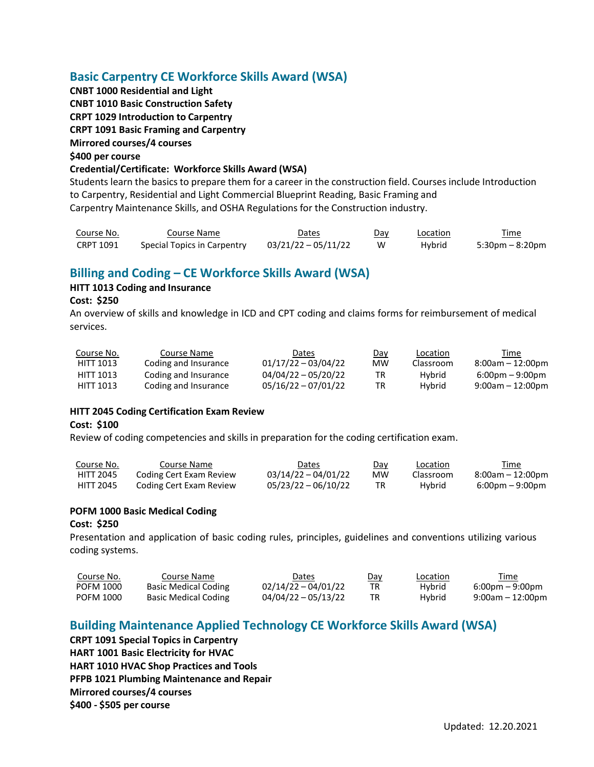# **Basic Carpentry CE Workforce Skills Award (WSA)**

**CNBT 1000 Residential and Light CNBT 1010 Basic Construction Safety CRPT 1029 Introduction to Carpentry CRPT 1091 Basic Framing and Carpentry Mirrored courses/4 courses \$400 per course**

#### **Credential/Certificate: Workforce Skills Award (WSA)**

Students learn the basics to prepare them for a career in the construction field. Courses include Introduction to Carpentry, Residential and Light Commercial Blueprint Reading, Basic Framing and Carpentry Maintenance Skills, and OSHA Regulations for the Construction industry.

| Course No. | Course Name                 | Dates               | Day | Location | Time            |
|------------|-----------------------------|---------------------|-----|----------|-----------------|
| CRPT 1091  | Special Topics in Carpentry | 03/21/22 - 05/11/22 | W   | Hybrid   | 5:30pm – 8:20pm |

# **Billing and Coding – CE Workforce Skills Award (WSA)**

#### **HITT 1013 Coding and Insurance**

#### **Cost: \$250**

An overview of skills and knowledge in ICD and CPT coding and claims forms for reimbursement of medical services.

| Course No. | Course Name          | Dates                 | Day | Location  | Time                              |
|------------|----------------------|-----------------------|-----|-----------|-----------------------------------|
| HITT 1013  | Coding and Insurance | $01/17/22 - 03/04/22$ | мw  | Classroom | $8:00$ am – 12:00pm               |
| HITT 1013  | Coding and Insurance | $04/04/22 - 05/20/22$ | TR  | Hybrid    | $6:00 \text{pm} - 9:00 \text{pm}$ |
| HITT 1013  | Coding and Insurance | $05/16/22 - 07/01/22$ | TR  | Hybrid    | $9:00$ am - 12:00pm               |

#### **HITT 2045 Coding Certification Exam Review**

#### **Cost: \$100**

Review of coding competencies and skills in preparation for the coding certification exam.

| Course No.       | Course Name             | Dates               | Dav | Location  | Time             |
|------------------|-------------------------|---------------------|-----|-----------|------------------|
| <b>HITT 2045</b> | Coding Cert Exam Review | 03/14/22 - 04/01/22 | MW  | Classroom | 8:00am - 12:00pm |
| HITT 2045        | Coding Cert Exam Review | 05/23/22 - 06/10/22 |     | Hybrid    | 6:00pm – 9:00pm  |

#### **POFM 1000 Basic Medical Coding**

#### **Cost: \$250**

Presentation and application of basic coding rules, principles, guidelines and conventions utilizing various coding systems.

| Course No.       | Course Name                 | Dates                 | Day | Location | Time                              |
|------------------|-----------------------------|-----------------------|-----|----------|-----------------------------------|
| <b>POFM 1000</b> | <b>Basic Medical Coding</b> | $02/14/22 - 04/01/22$ |     | Hybrid   | $6:00 \text{pm} - 9:00 \text{pm}$ |
| <b>POFM 1000</b> | <b>Basic Medical Coding</b> | $04/04/22 - 05/13/22$ |     | Hybrid   | $9:00$ am - 12:00pm               |

# **Building Maintenance Applied Technology CE Workforce Skills Award (WSA)**

**CRPT 1091 Special Topics in Carpentry HART 1001 Basic Electricity for HVAC HART 1010 HVAC Shop Practices and Tools PFPB 1021 Plumbing Maintenance and Repair Mirrored courses/4 courses \$400 - \$505 per course**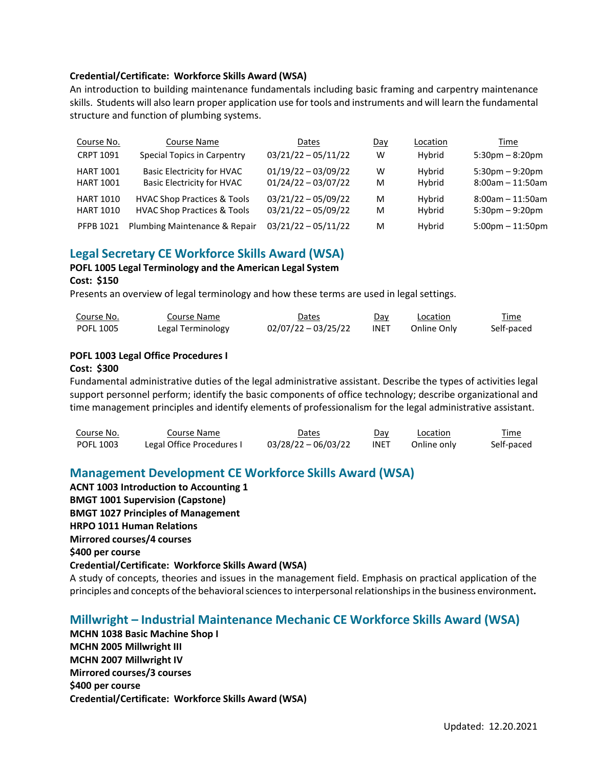#### **Credential/Certificate: Workforce Skills Award (WSA)**

An introduction to building maintenance fundamentals including basic framing and carpentry maintenance skills. Students will also learn proper application use for tools and instruments and will learn the fundamental structure and function of plumbing systems.

| Course No.       | Course Name                            | Dates                 | Day | Location | Time                              |
|------------------|----------------------------------------|-----------------------|-----|----------|-----------------------------------|
| <b>CRPT 1091</b> | Special Topics in Carpentry            | $03/21/22 - 05/11/22$ | W   | Hybrid   | $5:30 \text{pm} - 8:20 \text{pm}$ |
| <b>HART 1001</b> | <b>Basic Electricity for HVAC</b>      | $01/19/22 - 03/09/22$ | W   | Hybrid   | $5:30 \text{pm} - 9:20 \text{pm}$ |
| <b>HART 1001</b> | <b>Basic Electricity for HVAC</b>      | $01/24/22 - 03/07/22$ | M   | Hybrid   | $8:00am - 11:50am$                |
| <b>HART 1010</b> | <b>HVAC Shop Practices &amp; Tools</b> | $03/21/22 - 05/09/22$ | M   | Hybrid   | $8:00$ am $-11:50$ am             |
| <b>HART 1010</b> | <b>HVAC Shop Practices &amp; Tools</b> | $03/21/22 - 05/09/22$ | M   | Hybrid   | $5:30$ pm $-9:20$ pm              |
| <b>PFPB 1021</b> | Plumbing Maintenance & Repair          | $03/21/22 - 05/11/22$ | M   | Hybrid   | $5:00$ pm $-11:50$ pm             |

#### **Legal Secretary CE Workforce Skills Award (WSA)**

#### **POFL 1005 Legal Terminology and the American Legal System**

#### **Cost: \$150**

Presents an overview of legal terminology and how these terms are used in legal settings.

| Course No.       | Course Name       | Dates                 | Dav         | Location    | Time       |
|------------------|-------------------|-----------------------|-------------|-------------|------------|
| <b>POFL 1005</b> | Legal Terminology | $02/07/22 - 03/25/22$ | <b>INET</b> | Online Only | Self-paced |

#### **POFL 1003 Legal Office Procedures I**

#### **Cost: \$300**

Fundamental administrative duties of the legal administrative assistant. Describe the types of activities legal support personnel perform; identify the basic components of office technology; describe organizational and time management principles and identify elements of professionalism for the legal administrative assistant.

| Course No. | Course Name               | Dates               | Dav         | Location    | Time       |
|------------|---------------------------|---------------------|-------------|-------------|------------|
| POFL 1003  | Legal Office Procedures I | 03/28/22 - 06/03/22 | <b>INET</b> | Online only | Self-paced |

# **Management Development CE Workforce Skills Award (WSA)**

**ACNT 1003 Introduction to Accounting 1**

**BMGT 1001 Supervision (Capstone)**

**BMGT 1027 Principles of Management**

**HRPO 1011 Human Relations**

**Mirrored courses/4 courses**

**\$400 per course**

**Credential/Certificate: Workforce Skills Award (WSA)**

A study of concepts, theories and issues in the management field. Emphasis on practical application of the principles and concepts of the behavioral sciences to interpersonal relationships in the business environment.

#### **Millwright – Industrial Maintenance Mechanic CE Workforce Skills Award (WSA)**

**MCHN 1038 Basic Machine Shop I MCHN 2005 Millwright III MCHN 2007 Millwright IV Mirrored courses/3 courses \$400 per course Credential/Certificate: Workforce Skills Award (WSA)**